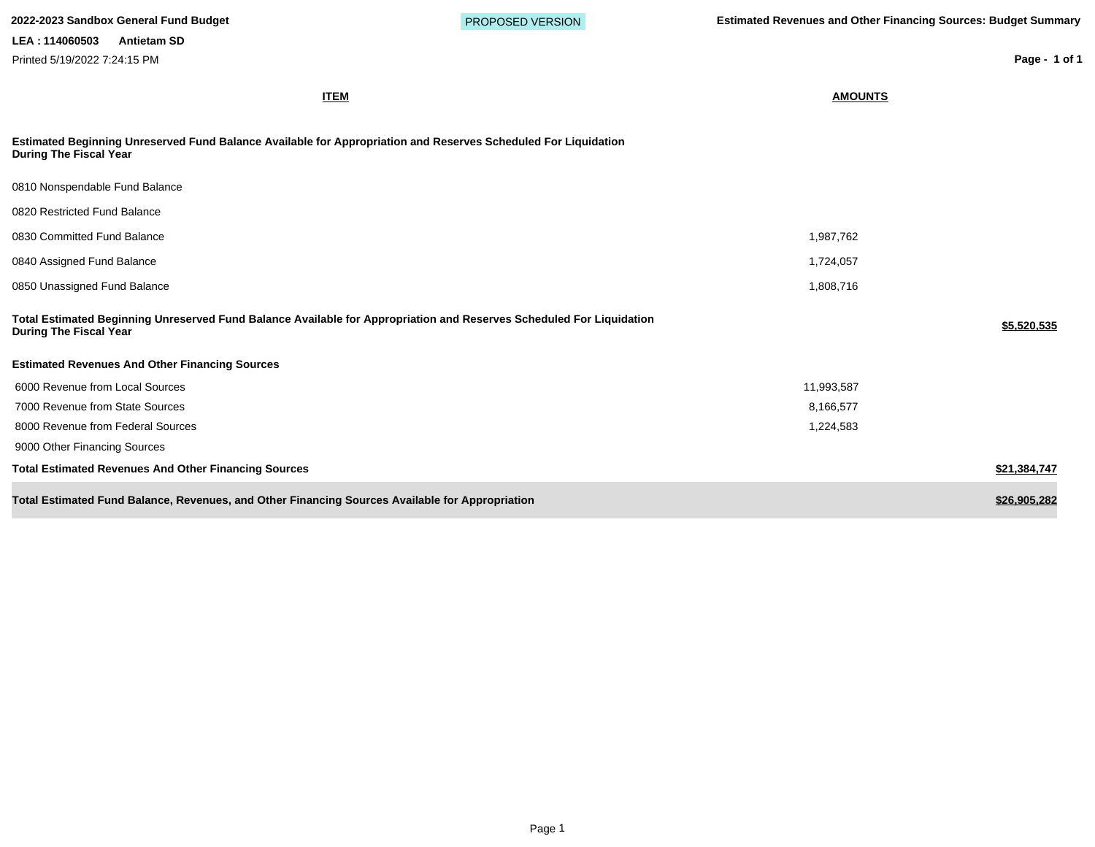| Printed 5/19/2022 7:24:15 PM                                                                                                                          |                | Page - 1 of 1 |
|-------------------------------------------------------------------------------------------------------------------------------------------------------|----------------|---------------|
| <b>ITEM</b>                                                                                                                                           | <b>AMOUNTS</b> |               |
| Estimated Beginning Unreserved Fund Balance Available for Appropriation and Reserves Scheduled For Liquidation<br><b>During The Fiscal Year</b>       |                |               |
| 0810 Nonspendable Fund Balance                                                                                                                        |                |               |
| 0820 Restricted Fund Balance                                                                                                                          |                |               |
| 0830 Committed Fund Balance                                                                                                                           | 1,987,762      |               |
| 0840 Assigned Fund Balance                                                                                                                            | 1,724,057      |               |
| 0850 Unassigned Fund Balance                                                                                                                          | 1,808,716      |               |
| Total Estimated Beginning Unreserved Fund Balance Available for Appropriation and Reserves Scheduled For Liquidation<br><b>During The Fiscal Year</b> |                | \$5,520,535   |
| <b>Estimated Revenues And Other Financing Sources</b>                                                                                                 |                |               |
| 6000 Revenue from Local Sources                                                                                                                       | 11,993,587     |               |
| 7000 Revenue from State Sources                                                                                                                       | 8,166,577      |               |
| 8000 Revenue from Federal Sources                                                                                                                     | 1,224,583      |               |
| 9000 Other Financing Sources                                                                                                                          |                |               |
| <b>Total Estimated Revenues And Other Financing Sources</b>                                                                                           |                | \$21,384,747  |
| Total Estimated Fund Balance, Revenues, and Other Financing Sources Available for Appropriation                                                       |                | \$26,905,282  |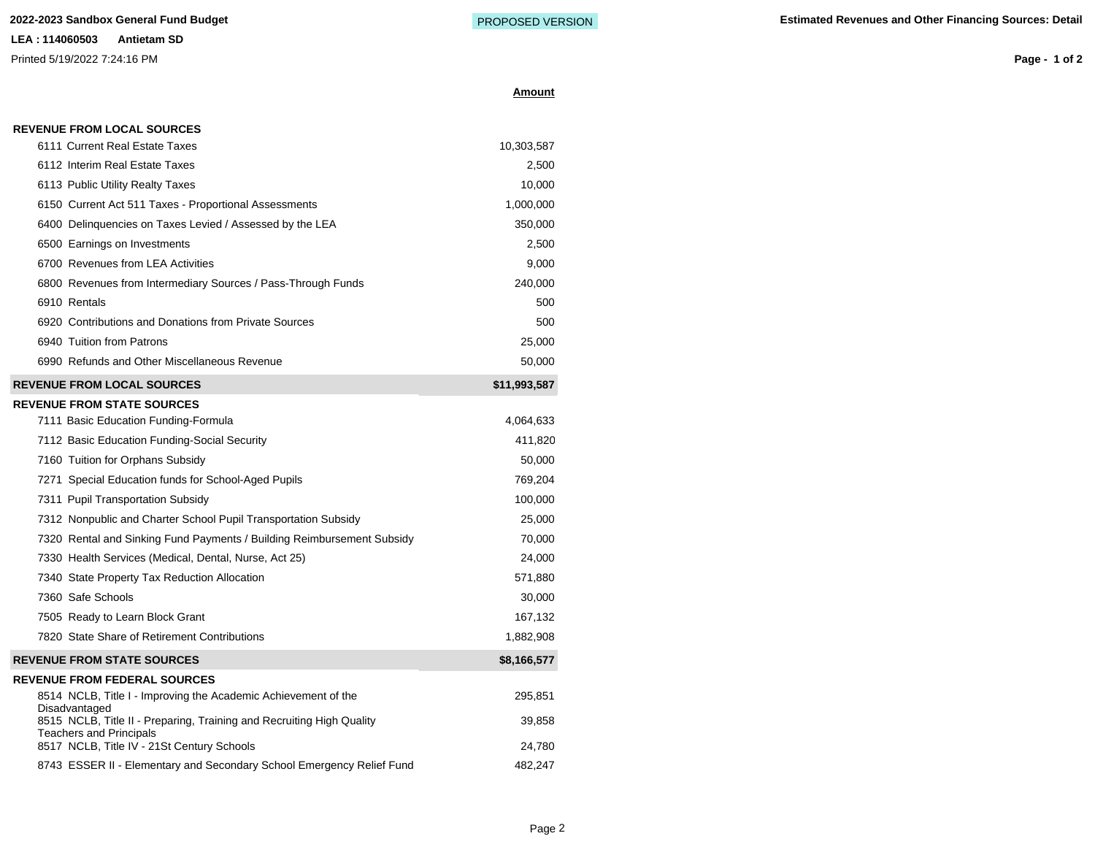**LEA : 114060503 Antietam SD** Printed 5/19/2022 7:24:16 PM

**Amount**

**Page - 1 of 2**

#### **REVENUE FROM LOCAL SOURCES**

| 6111 Current Real Estate Taxes                                                  | 10,303,587   |
|---------------------------------------------------------------------------------|--------------|
| 6112 Interim Real Estate Taxes                                                  | 2,500        |
| 6113 Public Utility Realty Taxes                                                | 10,000       |
| 6150 Current Act 511 Taxes - Proportional Assessments                           | 1,000,000    |
| 6400 Delinguencies on Taxes Levied / Assessed by the LEA                        | 350,000      |
| 6500 Earnings on Investments                                                    | 2,500        |
| 6700 Revenues from LEA Activities                                               | 9,000        |
| 6800 Revenues from Intermediary Sources / Pass-Through Funds                    | 240,000      |
| 6910 Rentals                                                                    | 500          |
| 6920 Contributions and Donations from Private Sources                           | 500          |
| 6940 Tuition from Patrons                                                       | 25,000       |
| 6990 Refunds and Other Miscellaneous Revenue                                    | 50,000       |
| <b>REVENUE FROM LOCAL SOURCES</b>                                               | \$11,993,587 |
| <b>REVENUE FROM STATE SOURCES</b>                                               |              |
| 7111 Basic Education Funding-Formula                                            | 4,064,633    |
| 7112 Basic Education Funding-Social Security                                    | 411,820      |
| 7160 Tuition for Orphans Subsidy                                                | 50,000       |
| 7271 Special Education funds for School-Aged Pupils                             | 769,204      |
| 7311 Pupil Transportation Subsidy                                               | 100,000      |
| 7312 Nonpublic and Charter School Pupil Transportation Subsidy                  | 25,000       |
| 7320 Rental and Sinking Fund Payments / Building Reimbursement Subsidy          | 70,000       |
| 7330 Health Services (Medical, Dental, Nurse, Act 25)                           | 24,000       |
| 7340 State Property Tax Reduction Allocation                                    | 571,880      |
| 7360 Safe Schools                                                               | 30,000       |
| 7505 Ready to Learn Block Grant                                                 | 167,132      |
| 7820 State Share of Retirement Contributions                                    | 1,882,908    |
| <b>REVENUE FROM STATE SOURCES</b>                                               | \$8,166,577  |
| <b>REVENUE FROM FEDERAL SOURCES</b>                                             |              |
| 8514 NCLB, Title I - Improving the Academic Achievement of the<br>Disadvantaged | 295,851      |
| 8515 NCLB, Title II - Preparing, Training and Recruiting High Quality           | 39,858       |
| <b>Teachers and Principals</b><br>8517 NCLB, Title IV - 21St Century Schools    | 24,780       |
|                                                                                 |              |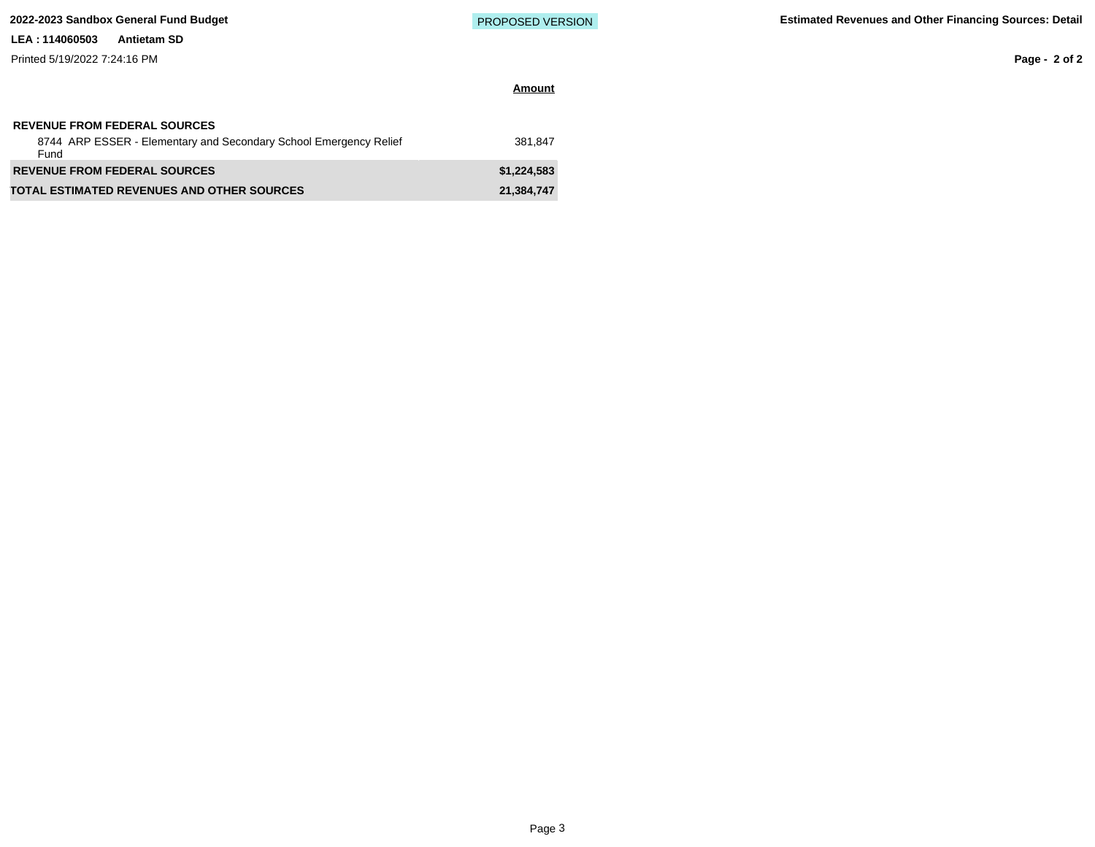Printed 5/19/2022 7:24:16 PM

**Amount**

**Page - 2 of 2**

| <b>REVENUE FROM FEDERAL SOURCES</b><br>8744 ARP ESSER - Elementary and Secondary School Emergency Relief<br>Fund | 381.847     |
|------------------------------------------------------------------------------------------------------------------|-------------|
| <b>REVENUE FROM FEDERAL SOURCES</b>                                                                              | \$1.224.583 |
| <b>TOTAL ESTIMATED REVENUES AND OTHER SOURCES</b>                                                                | 21.384.747  |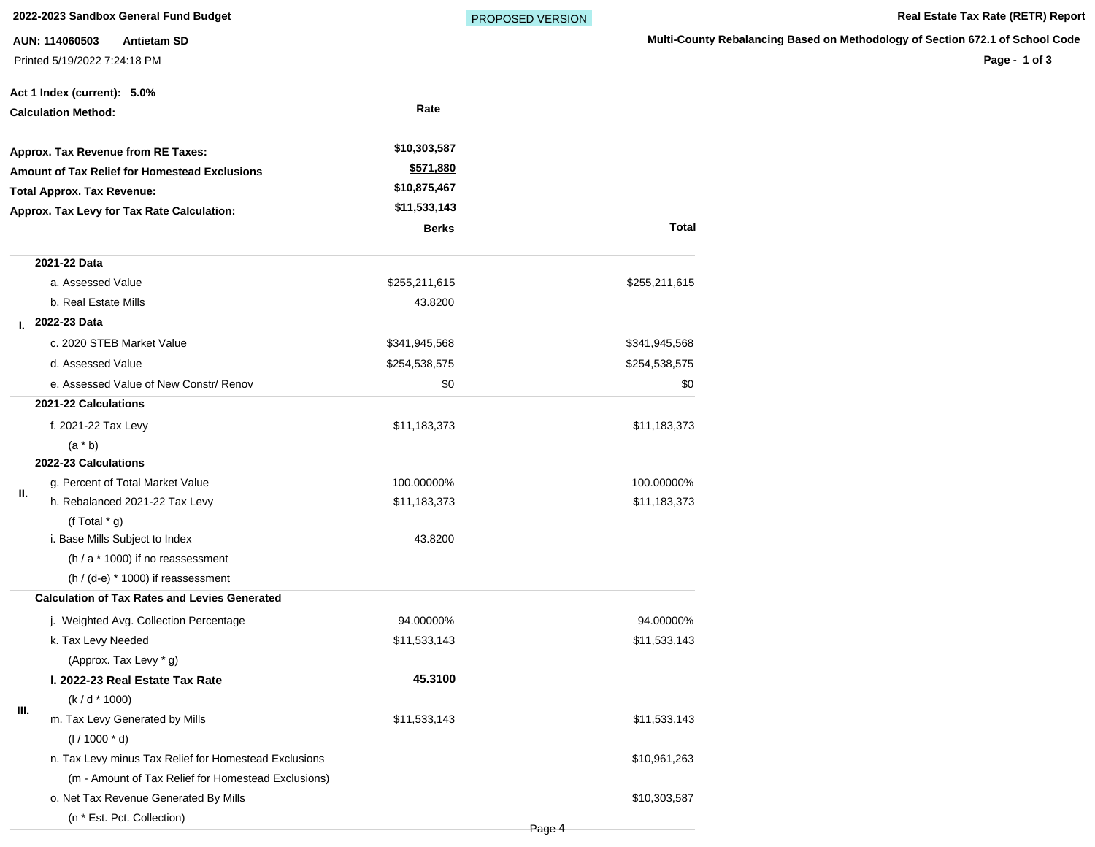**2022-2023 Sandbox General Fund Budget State Tax Rate (RETR) Report** Real Estate Tax Rate (RETR) Report

**AUN: 114060503 Antietam SD** Printed 5/19/2022 7:24:18 PM

Page 4

**Multi-County Rebalancing Based on Methodology of Section 672.1 of School Code**

**Page - 1 of 3**

|    | Act 1 Index (current): 5.0%                           |               |               |
|----|-------------------------------------------------------|---------------|---------------|
|    | <b>Calculation Method:</b>                            | Rate          |               |
|    | Approx. Tax Revenue from RE Taxes:                    | \$10,303,587  |               |
|    | <b>Amount of Tax Relief for Homestead Exclusions</b>  | \$571,880     |               |
|    | <b>Total Approx. Tax Revenue:</b>                     | \$10,875,467  |               |
|    | Approx. Tax Levy for Tax Rate Calculation:            | \$11,533,143  |               |
|    |                                                       | <b>Berks</b>  | Total         |
|    | 2021-22 Data                                          |               |               |
|    | a. Assessed Value                                     | \$255,211,615 | \$255,211,615 |
|    | b. Real Estate Mills                                  | 43.8200       |               |
| L. | 2022-23 Data                                          |               |               |
|    | c. 2020 STEB Market Value                             | \$341,945,568 | \$341,945,568 |
|    | d. Assessed Value                                     | \$254,538,575 | \$254,538,575 |
|    | e. Assessed Value of New Constr/ Renov                | \$0           | \$0           |
|    | 2021-22 Calculations                                  |               |               |
|    | f. 2021-22 Tax Levy                                   | \$11,183,373  | \$11,183,373  |
|    | $(a * b)$                                             |               |               |
|    | 2022-23 Calculations                                  |               |               |
| Ш. | g. Percent of Total Market Value                      | 100.00000%    | 100.00000%    |
|    | h. Rebalanced 2021-22 Tax Levy                        | \$11,183,373  | \$11,183,373  |
|    | (f Total $*$ g)                                       |               |               |
|    | i. Base Mills Subject to Index                        | 43.8200       |               |
|    | (h / a * 1000) if no reassessment                     |               |               |
|    | $(h / (d-e) * 1000)$ if reassessment                  |               |               |
|    | <b>Calculation of Tax Rates and Levies Generated</b>  |               |               |
|    | j. Weighted Avg. Collection Percentage                | 94.00000%     | 94.00000%     |
|    | k. Tax Levy Needed                                    | \$11,533,143  | \$11,533,143  |
|    | (Approx. Tax Levy * g)                                |               |               |
|    | I. 2022-23 Real Estate Tax Rate                       | 45.3100       |               |
|    | $(k/d * 1000)$                                        |               |               |
| ш. | m. Tax Levy Generated by Mills                        | \$11,533,143  | \$11,533,143  |
|    | $(1/1000 * d)$                                        |               |               |
|    | n. Tax Levy minus Tax Relief for Homestead Exclusions |               | \$10,961,263  |
|    | (m - Amount of Tax Relief for Homestead Exclusions)   |               |               |
|    | o. Net Tax Revenue Generated By Mills                 |               | \$10,303,587  |
|    | (n * Est. Pct. Collection)                            |               |               |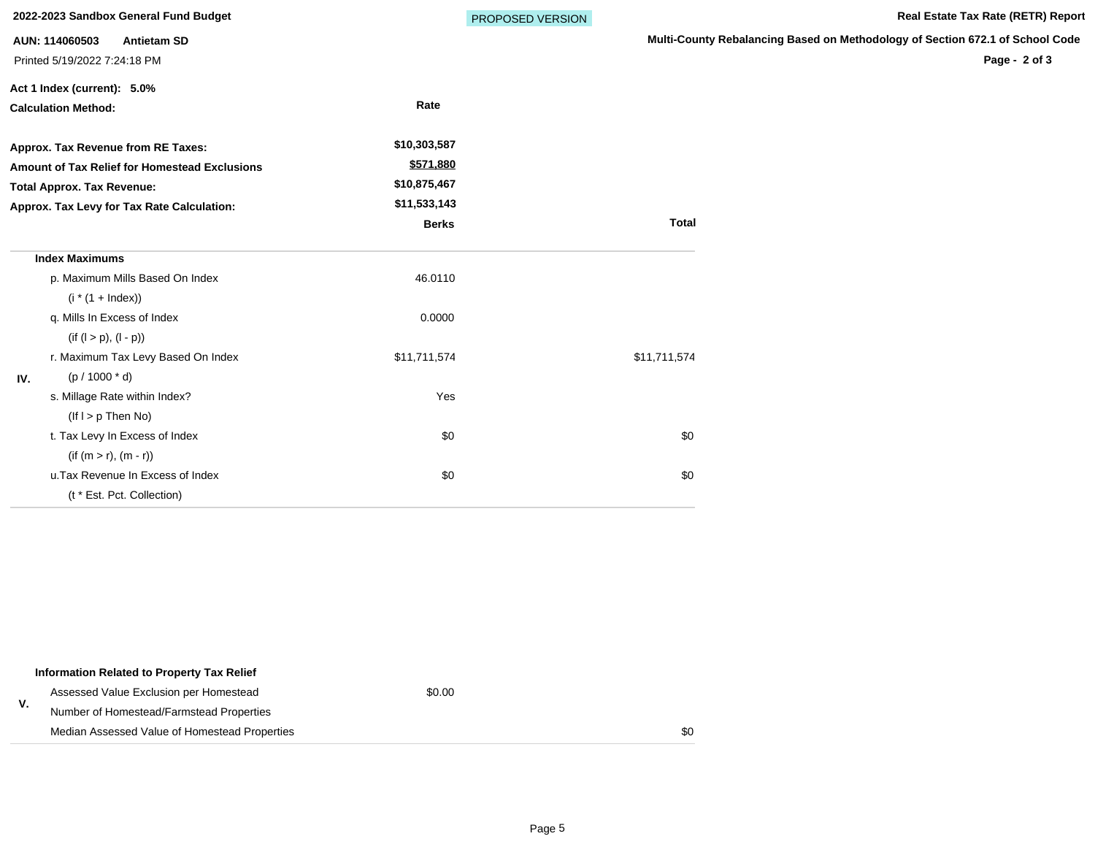|     | 2022-2023 Sandbox General Fund Budget         |              | PROPOSED VERSION |                       |
|-----|-----------------------------------------------|--------------|------------------|-----------------------|
|     | AUN: 114060503<br><b>Antietam SD</b>          |              |                  | <b>Multi-County I</b> |
|     | Printed 5/19/2022 7:24:18 PM                  |              |                  |                       |
|     | Act 1 Index (current): 5.0%                   |              |                  |                       |
|     | <b>Calculation Method:</b>                    | Rate         |                  |                       |
|     | Approx. Tax Revenue from RE Taxes:            | \$10,303,587 |                  |                       |
|     | Amount of Tax Relief for Homestead Exclusions | \$571,880    |                  |                       |
|     | <b>Total Approx. Tax Revenue:</b>             | \$10,875,467 |                  |                       |
|     | Approx. Tax Levy for Tax Rate Calculation:    | \$11,533,143 |                  |                       |
|     |                                               | <b>Berks</b> |                  | <b>Total</b>          |
|     | <b>Index Maximums</b>                         |              |                  |                       |
|     | p. Maximum Mills Based On Index               | 46.0110      |                  |                       |
|     | $(i * (1 + Index))$                           |              |                  |                       |
|     | q. Mills In Excess of Index                   | 0.0000       |                  |                       |
|     | $(if (l > p), (l - p))$                       |              |                  |                       |
|     | r. Maximum Tax Levy Based On Index            | \$11,711,574 |                  | \$11,711,574          |
| IV. | $(p / 1000 * d)$                              |              |                  |                       |
|     | s. Millage Rate within Index?                 | Yes          |                  |                       |
|     | $($ lf $I > p$ Then No)                       |              |                  |                       |
|     | t. Tax Levy In Excess of Index                | \$0          |                  | \$0                   |
|     | $(if (m > r), (m - r))$                       |              |                  |                       |
|     | u. Tax Revenue In Excess of Index             | \$0          |                  | \$0                   |
|     | (t * Est. Pct. Collection)                    |              |                  |                       |

| Information Related to Property Tax Relief    |        |     |
|-----------------------------------------------|--------|-----|
| Assessed Value Exclusion per Homestead        | \$0.00 |     |
| Number of Homestead/Farmstead Properties      |        |     |
| Median Assessed Value of Homestead Properties |        | \$0 |

**Rebalancing Based on Methodology of Section 672.1 of School Code** 

**Page - 2 of 3**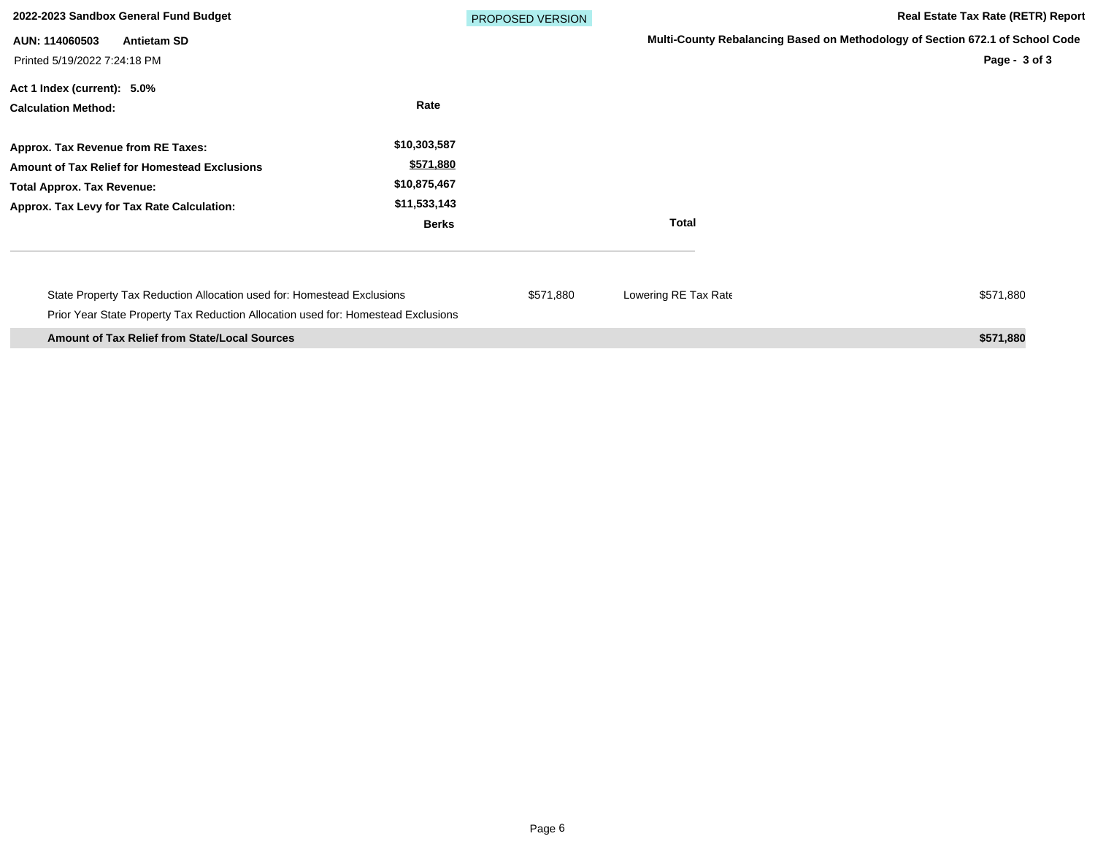| 2022-2023 Sandbox General Fund Budget                                                                                                                                  |                                                                           | <b>PROPOSED VERSION</b> |                      | <b>Real Estate Tax Rate (RETR) Report</b>                                                      |
|------------------------------------------------------------------------------------------------------------------------------------------------------------------------|---------------------------------------------------------------------------|-------------------------|----------------------|------------------------------------------------------------------------------------------------|
| AUN: 114060503<br><b>Antietam SD</b><br>Printed 5/19/2022 7:24:18 PM                                                                                                   |                                                                           |                         |                      | Multi-County Rebalancing Based on Methodology of Section 672.1 of School Code<br>Page - 3 of 3 |
| Act 1 Index (current): 5.0%<br><b>Calculation Method:</b>                                                                                                              | Rate                                                                      |                         |                      |                                                                                                |
| Approx. Tax Revenue from RE Taxes:<br>Amount of Tax Relief for Homestead Exclusions<br><b>Total Approx. Tax Revenue:</b><br>Approx. Tax Levy for Tax Rate Calculation: | \$10,303,587<br>\$571,880<br>\$10,875,467<br>\$11,533,143<br><b>Berks</b> |                         | <b>Total</b>         |                                                                                                |
| State Property Tax Reduction Allocation used for: Homestead Exclusions<br>Prior Year State Property Tax Reduction Allocation used for: Homestead Exclusions            |                                                                           | \$571,880               | Lowering RE Tax Rate | \$571,880                                                                                      |
| <b>Amount of Tax Relief from State/Local Sources</b>                                                                                                                   |                                                                           |                         |                      | \$571,880                                                                                      |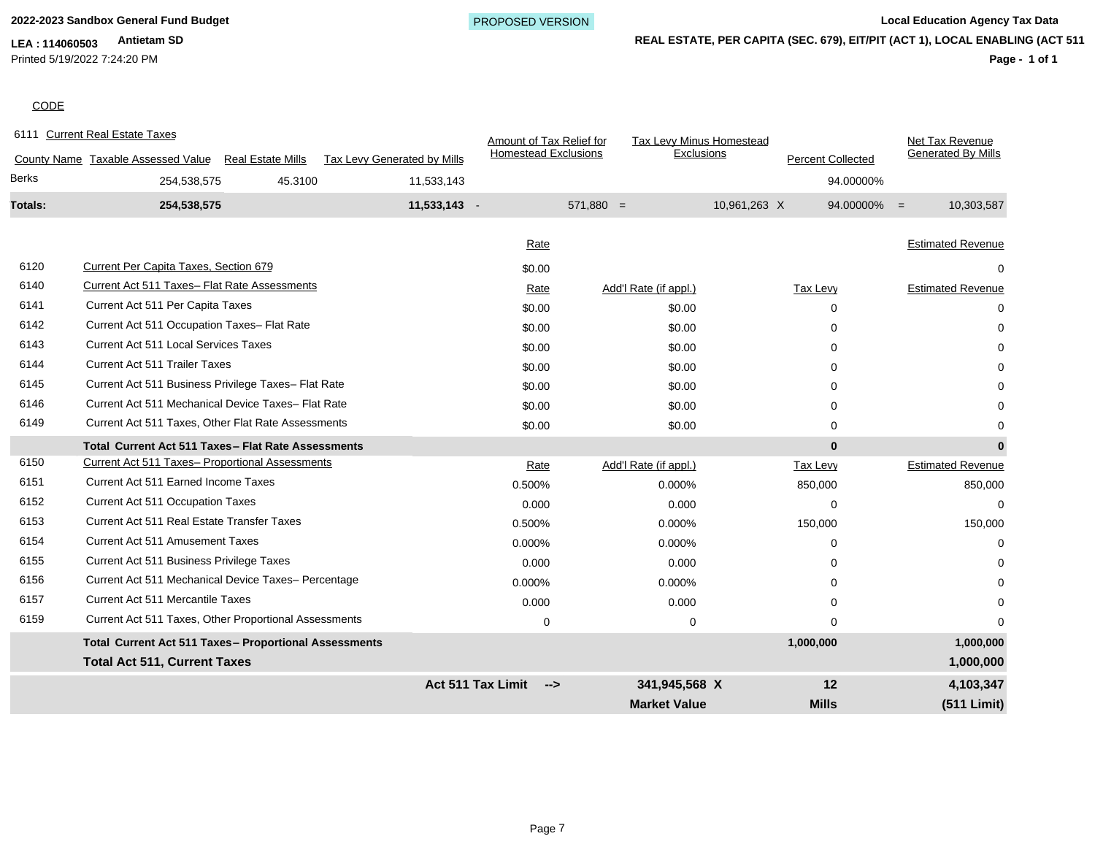Printed 5/19/2022 7:24:20 PM

**REAL ESTATE, PER CAPITA (SEC. 679), EIT/PIT (ACT 1), LOCAL ENABLING (ACT 511)**

**Market Value Mills (511 Limit)**

**Page - 1 of 1**

# **CODE**

|         |                                                              |                          |                             | <b>Act 511 Tax Limit</b>    | -->         | 341.945.568 X                   |              | 12                       |                | 4,103,347                 |
|---------|--------------------------------------------------------------|--------------------------|-----------------------------|-----------------------------|-------------|---------------------------------|--------------|--------------------------|----------------|---------------------------|
|         | <b>Total Act 511, Current Taxes</b>                          |                          |                             |                             |             |                                 |              |                          |                | 1,000,000                 |
|         | <b>Total Current Act 511 Taxes- Proportional Assessments</b> |                          |                             |                             |             |                                 |              | 1,000,000                |                | 1,000,000                 |
| 6159    | Current Act 511 Taxes, Other Proportional Assessments        |                          |                             | $\mathbf 0$                 |             | $\mathbf 0$                     |              | $\Omega$                 |                | $\Omega$                  |
| 6157    | <b>Current Act 511 Mercantile Taxes</b>                      |                          |                             | 0.000                       |             | 0.000                           |              | 0                        |                |                           |
| 6156    | Current Act 511 Mechanical Device Taxes- Percentage          |                          |                             | 0.000%                      |             | 0.000%                          |              | 0                        |                |                           |
| 6155    | Current Act 511 Business Privilege Taxes                     |                          |                             | 0.000                       |             | 0.000                           |              | 0                        |                |                           |
| 6154    | <b>Current Act 511 Amusement Taxes</b>                       |                          |                             | 0.000%                      |             | 0.000%                          |              | $\Omega$                 |                | $\Omega$                  |
| 6153    | Current Act 511 Real Estate Transfer Taxes                   |                          |                             | 0.500%                      |             | 0.000%                          |              | 150,000                  |                | 150,000                   |
| 6152    | Current Act 511 Occupation Taxes                             |                          |                             | 0.000                       |             | 0.000                           |              | $\Omega$                 |                | $\Omega$                  |
| 6151    | Current Act 511 Earned Income Taxes                          |                          |                             | 0.500%                      |             | 0.000%                          |              | 850,000                  |                | 850,000                   |
| 6150    | Current Act 511 Taxes- Proportional Assessments              |                          |                             | Rate                        |             | Add'l Rate (if appl.)           |              | Tax Levy                 |                | <b>Estimated Revenue</b>  |
|         | Total Current Act 511 Taxes - Flat Rate Assessments          |                          |                             |                             |             |                                 |              | $\bf{0}$                 |                | $\bf{0}$                  |
| 6149    | Current Act 511 Taxes, Other Flat Rate Assessments           |                          |                             | \$0.00                      |             | \$0.00                          |              | $\Omega$                 |                | 0                         |
| 6146    | Current Act 511 Mechanical Device Taxes- Flat Rate           |                          |                             | \$0.00                      |             | \$0.00                          |              | 0                        |                |                           |
| 6145    | Current Act 511 Business Privilege Taxes- Flat Rate          |                          |                             | \$0.00                      |             | \$0.00                          |              | 0                        |                |                           |
| 6144    | <b>Current Act 511 Trailer Taxes</b>                         |                          |                             | \$0.00                      |             | \$0.00                          |              | 0                        |                |                           |
| 6143    | <b>Current Act 511 Local Services Taxes</b>                  |                          |                             | \$0.00                      |             | \$0.00                          |              | $\Omega$                 |                |                           |
| 6142    | Current Act 511 Occupation Taxes- Flat Rate                  |                          |                             | \$0.00                      |             | \$0.00                          |              | $\Omega$                 |                | $\Omega$                  |
| 6141    | Current Act 511 Per Capita Taxes                             |                          |                             | \$0.00                      |             | \$0.00                          |              | $\Omega$                 |                | 0                         |
| 6140    | Current Act 511 Taxes- Flat Rate Assessments                 |                          |                             | Rate                        |             | Add'l Rate (if appl.)           |              | Tax Levy                 |                | <b>Estimated Revenue</b>  |
| 6120    | <b>Current Per Capita Taxes, Section 679</b>                 |                          |                             | Rate<br>\$0.00              |             |                                 |              |                          |                | <b>Estimated Revenue</b>  |
| Totals: | 254,538,575                                                  |                          | 11,533,143 -                |                             | $571,880 =$ |                                 | 10,961,263 X |                          | $94.00000\% =$ | 10,303,587                |
| Berks   | 254,538,575                                                  | 45.3100                  | 11,533,143                  |                             |             |                                 |              |                          | 94.00000%      |                           |
|         | County Name Taxable Assessed Value                           | <b>Real Estate Mills</b> | Tax Levy Generated by Mills | <b>Homestead Exclusions</b> |             | Exclusions                      |              | <b>Percent Collected</b> |                | <b>Generated By Mills</b> |
|         | 6111 Current Real Estate Taxes                               |                          |                             | Amount of Tax Relief for    |             | <b>Tax Levy Minus Homestead</b> |              |                          |                | Net Tax Revenue           |
|         |                                                              |                          |                             |                             |             |                                 |              |                          |                |                           |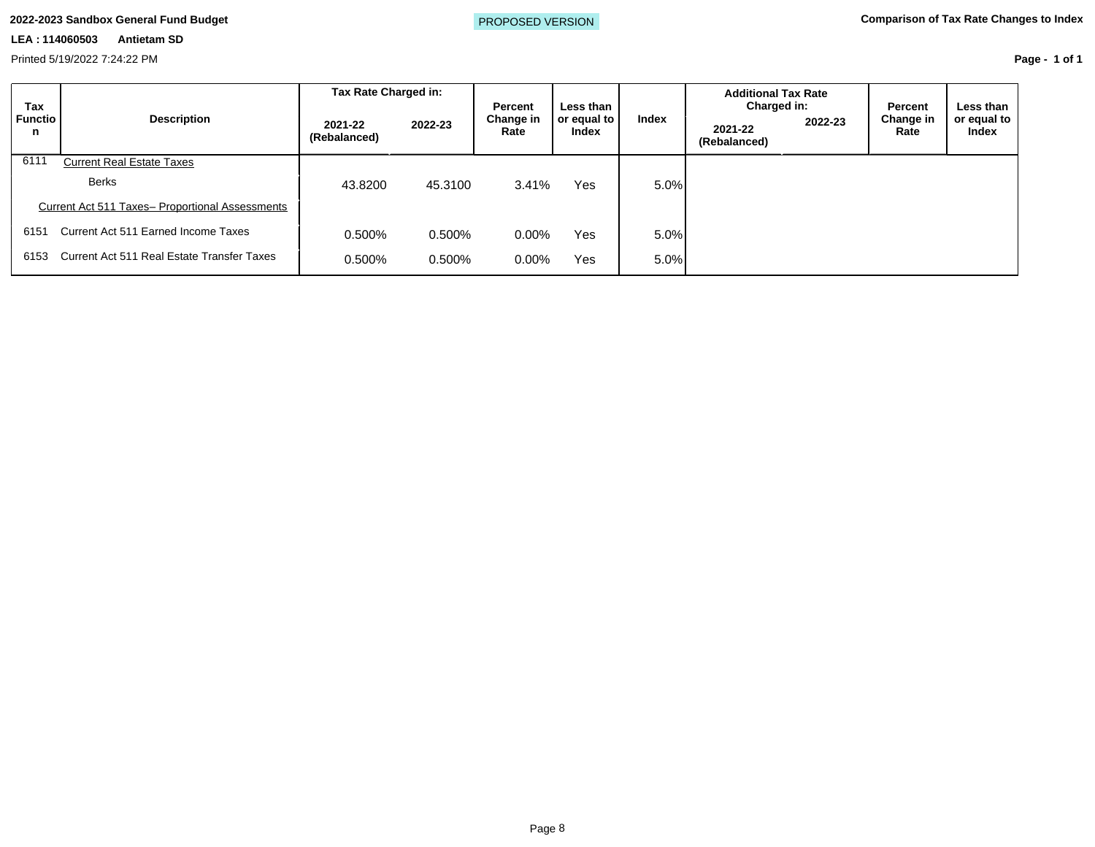Printed 5/19/2022 7:24:22 PM

| Page - 1 of 1 |  |  |
|---------------|--|--|
|               |  |  |

| <b>Tax</b>          |                                                 | Tax Rate Charged in:<br>Percent<br>Less than | <b>Additional Tax Rate</b><br>Charged in: |                   |            | Percent | Less than |                        |       |                         |         |                   |                             |
|---------------------|-------------------------------------------------|----------------------------------------------|-------------------------------------------|-------------------|------------|---------|-----------|------------------------|-------|-------------------------|---------|-------------------|-----------------------------|
| <b>Functio</b><br>n | <b>Description</b>                              | 2021-22<br>(Rebalanced)                      | 2022-23                                   | Change in<br>Rate |            |         |           | or equal to  <br>Index | Index | 2021-22<br>(Rebalanced) | 2022-23 | Change in<br>Rate | or equal to<br><b>Index</b> |
| 6111                | <b>Current Real Estate Taxes</b>                |                                              |                                           |                   |            |         |           |                        |       |                         |         |                   |                             |
|                     | <b>Berks</b>                                    | 43.8200                                      | 45.3100                                   | 3.41%             | Yes        | 5.0%    |           |                        |       |                         |         |                   |                             |
|                     | Current Act 511 Taxes- Proportional Assessments |                                              |                                           |                   |            |         |           |                        |       |                         |         |                   |                             |
| 6151                | Current Act 511 Earned Income Taxes             | 0.500%                                       | 0.500%                                    | $0.00\%$          | <b>Yes</b> | 5.0%    |           |                        |       |                         |         |                   |                             |
| 6153                | Current Act 511 Real Estate Transfer Taxes      | 0.500%                                       | 0.500%                                    | $0.00\%$          | <b>Yes</b> | 5.0%    |           |                        |       |                         |         |                   |                             |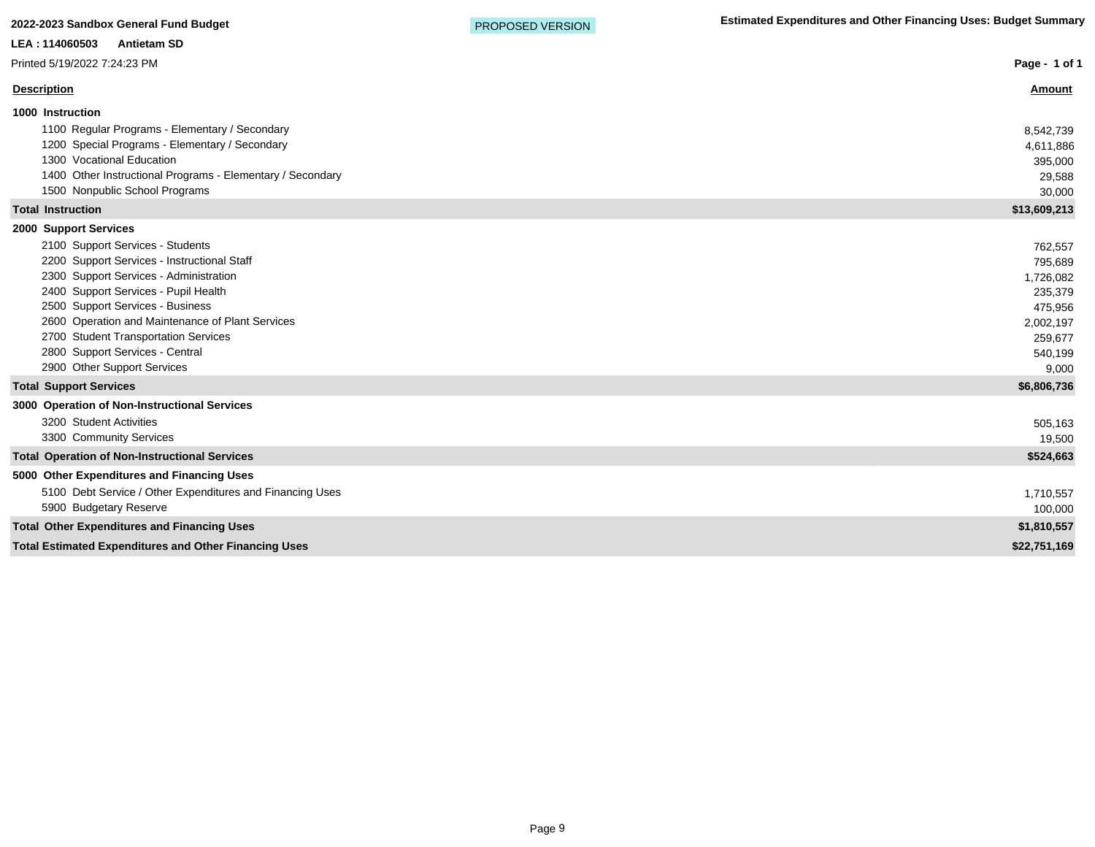| LEA: 114060503<br><b>Antietam SD</b>                         |               |
|--------------------------------------------------------------|---------------|
| Printed 5/19/2022 7:24:23 PM                                 | Page - 1 of 1 |
| <b>Description</b>                                           | <u>Amount</u> |
| 1000 Instruction                                             |               |
| 1100 Regular Programs - Elementary / Secondary               | 8,542,739     |
| 1200 Special Programs - Elementary / Secondary               | 4,611,886     |
| 1300 Vocational Education                                    | 395,000       |
| 1400 Other Instructional Programs - Elementary / Secondary   | 29,588        |
| 1500 Nonpublic School Programs                               | 30,000        |
| <b>Total Instruction</b>                                     | \$13,609,213  |
| 2000 Support Services                                        |               |
| 2100 Support Services - Students                             | 762,557       |
| 2200 Support Services - Instructional Staff                  | 795,689       |
| 2300 Support Services - Administration                       | 1,726,082     |
| 2400 Support Services - Pupil Health                         | 235,379       |
| 2500 Support Services - Business                             | 475,956       |
| 2600 Operation and Maintenance of Plant Services             | 2,002,197     |
| 2700 Student Transportation Services                         | 259,677       |
| 2800 Support Services - Central                              | 540,199       |
| 2900 Other Support Services                                  | 9,000         |
| <b>Total Support Services</b>                                | \$6,806,736   |
| 3000 Operation of Non-Instructional Services                 |               |
| 3200 Student Activities                                      | 505,163       |
| 3300 Community Services                                      | 19,500        |
| <b>Total Operation of Non-Instructional Services</b>         | \$524,663     |
| 5000 Other Expenditures and Financing Uses                   |               |
| 5100 Debt Service / Other Expenditures and Financing Uses    | 1,710,557     |
| 5900 Budgetary Reserve                                       | 100,000       |
| <b>Total Other Expenditures and Financing Uses</b>           | \$1,810,557   |
| <b>Total Estimated Expenditures and Other Financing Uses</b> | \$22,751,169  |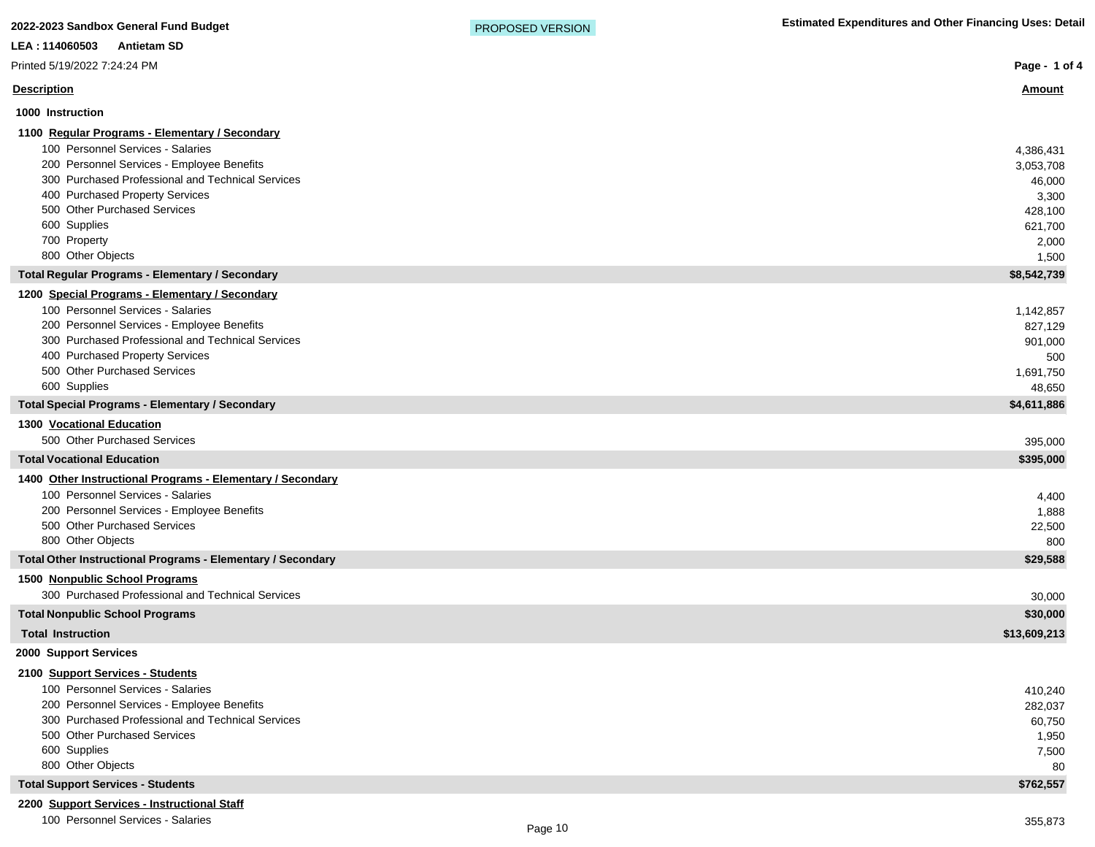# Printed 5/19/2022 7:24:24 PM

### **Description Amount**

| 1000 Instruction                                                                                                                                                                                                                                                                                               |                                                                                   |
|----------------------------------------------------------------------------------------------------------------------------------------------------------------------------------------------------------------------------------------------------------------------------------------------------------------|-----------------------------------------------------------------------------------|
| 1100 Regular Programs - Elementary / Secondary<br>100 Personnel Services - Salaries<br>200 Personnel Services - Employee Benefits<br>300 Purchased Professional and Technical Services<br>400 Purchased Property Services<br>500 Other Purchased Services<br>600 Supplies<br>700 Property<br>800 Other Objects | 4,386,431<br>3,053,708<br>46,000<br>3,300<br>428,100<br>621,700<br>2,000<br>1,500 |
| Total Regular Programs - Elementary / Secondary                                                                                                                                                                                                                                                                | \$8,542,739                                                                       |
| 1200 Special Programs - Elementary / Secondary<br>100 Personnel Services - Salaries<br>200 Personnel Services - Employee Benefits<br>300 Purchased Professional and Technical Services<br>400 Purchased Property Services<br>500 Other Purchased Services<br>600 Supplies                                      | 1,142,857<br>827,129<br>901,000<br>500<br>1,691,750<br>48,650                     |
| Total Special Programs - Elementary / Secondary                                                                                                                                                                                                                                                                | \$4,611,886                                                                       |
| <b>1300 Vocational Education</b><br>500 Other Purchased Services<br><b>Total Vocational Education</b>                                                                                                                                                                                                          | 395,000                                                                           |
|                                                                                                                                                                                                                                                                                                                | \$395,000                                                                         |
| 1400 Other Instructional Programs - Elementary / Secondary<br>100 Personnel Services - Salaries                                                                                                                                                                                                                | 4,400                                                                             |

| 200 Personnel Services - Employee Benefits                  | .888     |
|-------------------------------------------------------------|----------|
| 500 Other Purchased Services                                | 22,500   |
| 800 Other Objects                                           | 800      |
| Total Other Instructional Programs - Elementary / Secondary | \$29,588 |
| 1500 Nonpublic School Programs                              |          |

| 300 Purchased Professional and Technical Services | 30,000       |
|---------------------------------------------------|--------------|
| Total Nonpublic School Programs                   | \$30,000     |
| <b>Total Instruction</b>                          | \$13,609,213 |
|                                                   |              |

**2000 Support Services**

# **2100 Support Services - Students**

| 100 Personnel Services - Salaries                 | 410,240   |
|---------------------------------------------------|-----------|
| 200 Personnel Services - Employee Benefits        | 282,037   |
| 300 Purchased Professional and Technical Services | 60,750    |
| 500 Other Purchased Services                      | 1,950     |
| 600 Supplies                                      | 7,500     |
| 800 Other Objects                                 | 80        |
| <b>Total Support Services - Students</b>          | \$762,557 |
|                                                   |           |

# **2200 Support Services - Instructional Staff**

100 Personnel Services - Salaries 355,873

**Page - 1 of 4**

PROPOSED VERSION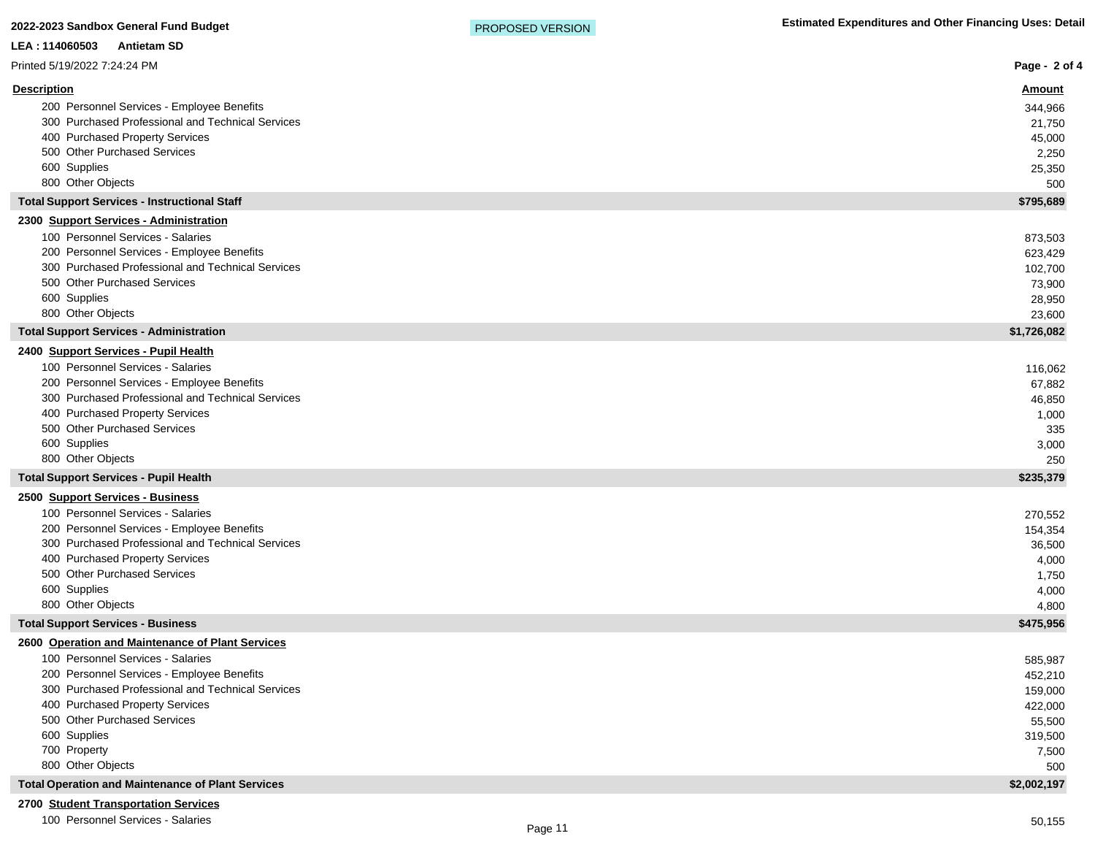| <u>Amount</u><br>200 Personnel Services - Employee Benefits<br>344,966<br>300 Purchased Professional and Technical Services<br>21,750<br>400 Purchased Property Services<br>45,000<br>500 Other Purchased Services<br>2,250<br>600 Supplies<br>25,350<br>800 Other Objects<br>500<br><b>Total Support Services - Instructional Staff</b><br>\$795,689<br>2300 Support Services - Administration<br>100 Personnel Services - Salaries<br>873,503<br>200 Personnel Services - Employee Benefits<br>623,429<br>300 Purchased Professional and Technical Services<br>102,700<br>500 Other Purchased Services<br>73,900<br>600 Supplies<br>28,950<br>800 Other Objects<br>23,600<br><b>Total Support Services - Administration</b><br>\$1,726,082<br>2400 Support Services - Pupil Health<br>100 Personnel Services - Salaries<br>116,062<br>200 Personnel Services - Employee Benefits<br>67,882<br>300 Purchased Professional and Technical Services<br>46,850<br>400 Purchased Property Services<br>1,000<br>500 Other Purchased Services<br>335<br>600 Supplies<br>3,000<br>800 Other Objects<br>250<br><b>Total Support Services - Pupil Health</b><br>\$235,379<br>2500 Support Services - Business<br>100 Personnel Services - Salaries<br>270,552<br>200 Personnel Services - Employee Benefits<br>154,354<br>300 Purchased Professional and Technical Services<br>36,500<br>400 Purchased Property Services<br>4,000<br>500 Other Purchased Services<br>1,750<br>600 Supplies<br>4,000<br>800 Other Objects<br>4,800<br>\$475,956<br><b>Total Support Services - Business</b><br>2600 Operation and Maintenance of Plant Services<br>100 Personnel Services - Salaries<br>585,987<br>200 Personnel Services - Employee Benefits<br>452,210<br>300 Purchased Professional and Technical Services<br>159,000<br>400 Purchased Property Services<br>422,000<br>500 Other Purchased Services<br>55,500<br>600 Supplies<br>319,500<br>700 Property<br>7,500<br>800 Other Objects<br>500<br><b>Total Operation and Maintenance of Plant Services</b><br>\$2,002,197<br>2700 Student Transportation Services | LEA: 114060503<br><b>Antietam SD</b> |               |
|-----------------------------------------------------------------------------------------------------------------------------------------------------------------------------------------------------------------------------------------------------------------------------------------------------------------------------------------------------------------------------------------------------------------------------------------------------------------------------------------------------------------------------------------------------------------------------------------------------------------------------------------------------------------------------------------------------------------------------------------------------------------------------------------------------------------------------------------------------------------------------------------------------------------------------------------------------------------------------------------------------------------------------------------------------------------------------------------------------------------------------------------------------------------------------------------------------------------------------------------------------------------------------------------------------------------------------------------------------------------------------------------------------------------------------------------------------------------------------------------------------------------------------------------------------------------------------------------------------------------------------------------------------------------------------------------------------------------------------------------------------------------------------------------------------------------------------------------------------------------------------------------------------------------------------------------------------------------------------------------------------------------------------------------------------------------------------------------------------------|--------------------------------------|---------------|
|                                                                                                                                                                                                                                                                                                                                                                                                                                                                                                                                                                                                                                                                                                                                                                                                                                                                                                                                                                                                                                                                                                                                                                                                                                                                                                                                                                                                                                                                                                                                                                                                                                                                                                                                                                                                                                                                                                                                                                                                                                                                                                           | Printed 5/19/2022 7:24:24 PM         | Page - 2 of 4 |
|                                                                                                                                                                                                                                                                                                                                                                                                                                                                                                                                                                                                                                                                                                                                                                                                                                                                                                                                                                                                                                                                                                                                                                                                                                                                                                                                                                                                                                                                                                                                                                                                                                                                                                                                                                                                                                                                                                                                                                                                                                                                                                           | <b>Description</b>                   |               |
|                                                                                                                                                                                                                                                                                                                                                                                                                                                                                                                                                                                                                                                                                                                                                                                                                                                                                                                                                                                                                                                                                                                                                                                                                                                                                                                                                                                                                                                                                                                                                                                                                                                                                                                                                                                                                                                                                                                                                                                                                                                                                                           |                                      |               |
|                                                                                                                                                                                                                                                                                                                                                                                                                                                                                                                                                                                                                                                                                                                                                                                                                                                                                                                                                                                                                                                                                                                                                                                                                                                                                                                                                                                                                                                                                                                                                                                                                                                                                                                                                                                                                                                                                                                                                                                                                                                                                                           |                                      |               |
|                                                                                                                                                                                                                                                                                                                                                                                                                                                                                                                                                                                                                                                                                                                                                                                                                                                                                                                                                                                                                                                                                                                                                                                                                                                                                                                                                                                                                                                                                                                                                                                                                                                                                                                                                                                                                                                                                                                                                                                                                                                                                                           |                                      |               |
|                                                                                                                                                                                                                                                                                                                                                                                                                                                                                                                                                                                                                                                                                                                                                                                                                                                                                                                                                                                                                                                                                                                                                                                                                                                                                                                                                                                                                                                                                                                                                                                                                                                                                                                                                                                                                                                                                                                                                                                                                                                                                                           |                                      |               |
|                                                                                                                                                                                                                                                                                                                                                                                                                                                                                                                                                                                                                                                                                                                                                                                                                                                                                                                                                                                                                                                                                                                                                                                                                                                                                                                                                                                                                                                                                                                                                                                                                                                                                                                                                                                                                                                                                                                                                                                                                                                                                                           |                                      |               |
|                                                                                                                                                                                                                                                                                                                                                                                                                                                                                                                                                                                                                                                                                                                                                                                                                                                                                                                                                                                                                                                                                                                                                                                                                                                                                                                                                                                                                                                                                                                                                                                                                                                                                                                                                                                                                                                                                                                                                                                                                                                                                                           |                                      |               |
|                                                                                                                                                                                                                                                                                                                                                                                                                                                                                                                                                                                                                                                                                                                                                                                                                                                                                                                                                                                                                                                                                                                                                                                                                                                                                                                                                                                                                                                                                                                                                                                                                                                                                                                                                                                                                                                                                                                                                                                                                                                                                                           |                                      |               |
|                                                                                                                                                                                                                                                                                                                                                                                                                                                                                                                                                                                                                                                                                                                                                                                                                                                                                                                                                                                                                                                                                                                                                                                                                                                                                                                                                                                                                                                                                                                                                                                                                                                                                                                                                                                                                                                                                                                                                                                                                                                                                                           |                                      |               |
|                                                                                                                                                                                                                                                                                                                                                                                                                                                                                                                                                                                                                                                                                                                                                                                                                                                                                                                                                                                                                                                                                                                                                                                                                                                                                                                                                                                                                                                                                                                                                                                                                                                                                                                                                                                                                                                                                                                                                                                                                                                                                                           |                                      |               |
|                                                                                                                                                                                                                                                                                                                                                                                                                                                                                                                                                                                                                                                                                                                                                                                                                                                                                                                                                                                                                                                                                                                                                                                                                                                                                                                                                                                                                                                                                                                                                                                                                                                                                                                                                                                                                                                                                                                                                                                                                                                                                                           |                                      |               |
|                                                                                                                                                                                                                                                                                                                                                                                                                                                                                                                                                                                                                                                                                                                                                                                                                                                                                                                                                                                                                                                                                                                                                                                                                                                                                                                                                                                                                                                                                                                                                                                                                                                                                                                                                                                                                                                                                                                                                                                                                                                                                                           |                                      |               |
|                                                                                                                                                                                                                                                                                                                                                                                                                                                                                                                                                                                                                                                                                                                                                                                                                                                                                                                                                                                                                                                                                                                                                                                                                                                                                                                                                                                                                                                                                                                                                                                                                                                                                                                                                                                                                                                                                                                                                                                                                                                                                                           |                                      |               |
|                                                                                                                                                                                                                                                                                                                                                                                                                                                                                                                                                                                                                                                                                                                                                                                                                                                                                                                                                                                                                                                                                                                                                                                                                                                                                                                                                                                                                                                                                                                                                                                                                                                                                                                                                                                                                                                                                                                                                                                                                                                                                                           |                                      |               |
|                                                                                                                                                                                                                                                                                                                                                                                                                                                                                                                                                                                                                                                                                                                                                                                                                                                                                                                                                                                                                                                                                                                                                                                                                                                                                                                                                                                                                                                                                                                                                                                                                                                                                                                                                                                                                                                                                                                                                                                                                                                                                                           |                                      |               |
|                                                                                                                                                                                                                                                                                                                                                                                                                                                                                                                                                                                                                                                                                                                                                                                                                                                                                                                                                                                                                                                                                                                                                                                                                                                                                                                                                                                                                                                                                                                                                                                                                                                                                                                                                                                                                                                                                                                                                                                                                                                                                                           |                                      |               |
|                                                                                                                                                                                                                                                                                                                                                                                                                                                                                                                                                                                                                                                                                                                                                                                                                                                                                                                                                                                                                                                                                                                                                                                                                                                                                                                                                                                                                                                                                                                                                                                                                                                                                                                                                                                                                                                                                                                                                                                                                                                                                                           |                                      |               |
|                                                                                                                                                                                                                                                                                                                                                                                                                                                                                                                                                                                                                                                                                                                                                                                                                                                                                                                                                                                                                                                                                                                                                                                                                                                                                                                                                                                                                                                                                                                                                                                                                                                                                                                                                                                                                                                                                                                                                                                                                                                                                                           |                                      |               |
|                                                                                                                                                                                                                                                                                                                                                                                                                                                                                                                                                                                                                                                                                                                                                                                                                                                                                                                                                                                                                                                                                                                                                                                                                                                                                                                                                                                                                                                                                                                                                                                                                                                                                                                                                                                                                                                                                                                                                                                                                                                                                                           |                                      |               |
|                                                                                                                                                                                                                                                                                                                                                                                                                                                                                                                                                                                                                                                                                                                                                                                                                                                                                                                                                                                                                                                                                                                                                                                                                                                                                                                                                                                                                                                                                                                                                                                                                                                                                                                                                                                                                                                                                                                                                                                                                                                                                                           |                                      |               |
|                                                                                                                                                                                                                                                                                                                                                                                                                                                                                                                                                                                                                                                                                                                                                                                                                                                                                                                                                                                                                                                                                                                                                                                                                                                                                                                                                                                                                                                                                                                                                                                                                                                                                                                                                                                                                                                                                                                                                                                                                                                                                                           |                                      |               |
|                                                                                                                                                                                                                                                                                                                                                                                                                                                                                                                                                                                                                                                                                                                                                                                                                                                                                                                                                                                                                                                                                                                                                                                                                                                                                                                                                                                                                                                                                                                                                                                                                                                                                                                                                                                                                                                                                                                                                                                                                                                                                                           |                                      |               |
|                                                                                                                                                                                                                                                                                                                                                                                                                                                                                                                                                                                                                                                                                                                                                                                                                                                                                                                                                                                                                                                                                                                                                                                                                                                                                                                                                                                                                                                                                                                                                                                                                                                                                                                                                                                                                                                                                                                                                                                                                                                                                                           |                                      |               |
|                                                                                                                                                                                                                                                                                                                                                                                                                                                                                                                                                                                                                                                                                                                                                                                                                                                                                                                                                                                                                                                                                                                                                                                                                                                                                                                                                                                                                                                                                                                                                                                                                                                                                                                                                                                                                                                                                                                                                                                                                                                                                                           |                                      |               |
|                                                                                                                                                                                                                                                                                                                                                                                                                                                                                                                                                                                                                                                                                                                                                                                                                                                                                                                                                                                                                                                                                                                                                                                                                                                                                                                                                                                                                                                                                                                                                                                                                                                                                                                                                                                                                                                                                                                                                                                                                                                                                                           |                                      |               |
|                                                                                                                                                                                                                                                                                                                                                                                                                                                                                                                                                                                                                                                                                                                                                                                                                                                                                                                                                                                                                                                                                                                                                                                                                                                                                                                                                                                                                                                                                                                                                                                                                                                                                                                                                                                                                                                                                                                                                                                                                                                                                                           |                                      |               |
|                                                                                                                                                                                                                                                                                                                                                                                                                                                                                                                                                                                                                                                                                                                                                                                                                                                                                                                                                                                                                                                                                                                                                                                                                                                                                                                                                                                                                                                                                                                                                                                                                                                                                                                                                                                                                                                                                                                                                                                                                                                                                                           |                                      |               |
|                                                                                                                                                                                                                                                                                                                                                                                                                                                                                                                                                                                                                                                                                                                                                                                                                                                                                                                                                                                                                                                                                                                                                                                                                                                                                                                                                                                                                                                                                                                                                                                                                                                                                                                                                                                                                                                                                                                                                                                                                                                                                                           |                                      |               |
|                                                                                                                                                                                                                                                                                                                                                                                                                                                                                                                                                                                                                                                                                                                                                                                                                                                                                                                                                                                                                                                                                                                                                                                                                                                                                                                                                                                                                                                                                                                                                                                                                                                                                                                                                                                                                                                                                                                                                                                                                                                                                                           |                                      |               |
|                                                                                                                                                                                                                                                                                                                                                                                                                                                                                                                                                                                                                                                                                                                                                                                                                                                                                                                                                                                                                                                                                                                                                                                                                                                                                                                                                                                                                                                                                                                                                                                                                                                                                                                                                                                                                                                                                                                                                                                                                                                                                                           |                                      |               |
|                                                                                                                                                                                                                                                                                                                                                                                                                                                                                                                                                                                                                                                                                                                                                                                                                                                                                                                                                                                                                                                                                                                                                                                                                                                                                                                                                                                                                                                                                                                                                                                                                                                                                                                                                                                                                                                                                                                                                                                                                                                                                                           |                                      |               |
|                                                                                                                                                                                                                                                                                                                                                                                                                                                                                                                                                                                                                                                                                                                                                                                                                                                                                                                                                                                                                                                                                                                                                                                                                                                                                                                                                                                                                                                                                                                                                                                                                                                                                                                                                                                                                                                                                                                                                                                                                                                                                                           |                                      |               |
|                                                                                                                                                                                                                                                                                                                                                                                                                                                                                                                                                                                                                                                                                                                                                                                                                                                                                                                                                                                                                                                                                                                                                                                                                                                                                                                                                                                                                                                                                                                                                                                                                                                                                                                                                                                                                                                                                                                                                                                                                                                                                                           |                                      |               |
|                                                                                                                                                                                                                                                                                                                                                                                                                                                                                                                                                                                                                                                                                                                                                                                                                                                                                                                                                                                                                                                                                                                                                                                                                                                                                                                                                                                                                                                                                                                                                                                                                                                                                                                                                                                                                                                                                                                                                                                                                                                                                                           |                                      |               |
|                                                                                                                                                                                                                                                                                                                                                                                                                                                                                                                                                                                                                                                                                                                                                                                                                                                                                                                                                                                                                                                                                                                                                                                                                                                                                                                                                                                                                                                                                                                                                                                                                                                                                                                                                                                                                                                                                                                                                                                                                                                                                                           |                                      |               |
|                                                                                                                                                                                                                                                                                                                                                                                                                                                                                                                                                                                                                                                                                                                                                                                                                                                                                                                                                                                                                                                                                                                                                                                                                                                                                                                                                                                                                                                                                                                                                                                                                                                                                                                                                                                                                                                                                                                                                                                                                                                                                                           |                                      |               |
|                                                                                                                                                                                                                                                                                                                                                                                                                                                                                                                                                                                                                                                                                                                                                                                                                                                                                                                                                                                                                                                                                                                                                                                                                                                                                                                                                                                                                                                                                                                                                                                                                                                                                                                                                                                                                                                                                                                                                                                                                                                                                                           |                                      |               |
|                                                                                                                                                                                                                                                                                                                                                                                                                                                                                                                                                                                                                                                                                                                                                                                                                                                                                                                                                                                                                                                                                                                                                                                                                                                                                                                                                                                                                                                                                                                                                                                                                                                                                                                                                                                                                                                                                                                                                                                                                                                                                                           |                                      |               |
|                                                                                                                                                                                                                                                                                                                                                                                                                                                                                                                                                                                                                                                                                                                                                                                                                                                                                                                                                                                                                                                                                                                                                                                                                                                                                                                                                                                                                                                                                                                                                                                                                                                                                                                                                                                                                                                                                                                                                                                                                                                                                                           |                                      |               |
|                                                                                                                                                                                                                                                                                                                                                                                                                                                                                                                                                                                                                                                                                                                                                                                                                                                                                                                                                                                                                                                                                                                                                                                                                                                                                                                                                                                                                                                                                                                                                                                                                                                                                                                                                                                                                                                                                                                                                                                                                                                                                                           |                                      |               |
|                                                                                                                                                                                                                                                                                                                                                                                                                                                                                                                                                                                                                                                                                                                                                                                                                                                                                                                                                                                                                                                                                                                                                                                                                                                                                                                                                                                                                                                                                                                                                                                                                                                                                                                                                                                                                                                                                                                                                                                                                                                                                                           |                                      |               |
|                                                                                                                                                                                                                                                                                                                                                                                                                                                                                                                                                                                                                                                                                                                                                                                                                                                                                                                                                                                                                                                                                                                                                                                                                                                                                                                                                                                                                                                                                                                                                                                                                                                                                                                                                                                                                                                                                                                                                                                                                                                                                                           |                                      |               |
|                                                                                                                                                                                                                                                                                                                                                                                                                                                                                                                                                                                                                                                                                                                                                                                                                                                                                                                                                                                                                                                                                                                                                                                                                                                                                                                                                                                                                                                                                                                                                                                                                                                                                                                                                                                                                                                                                                                                                                                                                                                                                                           |                                      |               |

100 Personnel Services - Salaries 50,155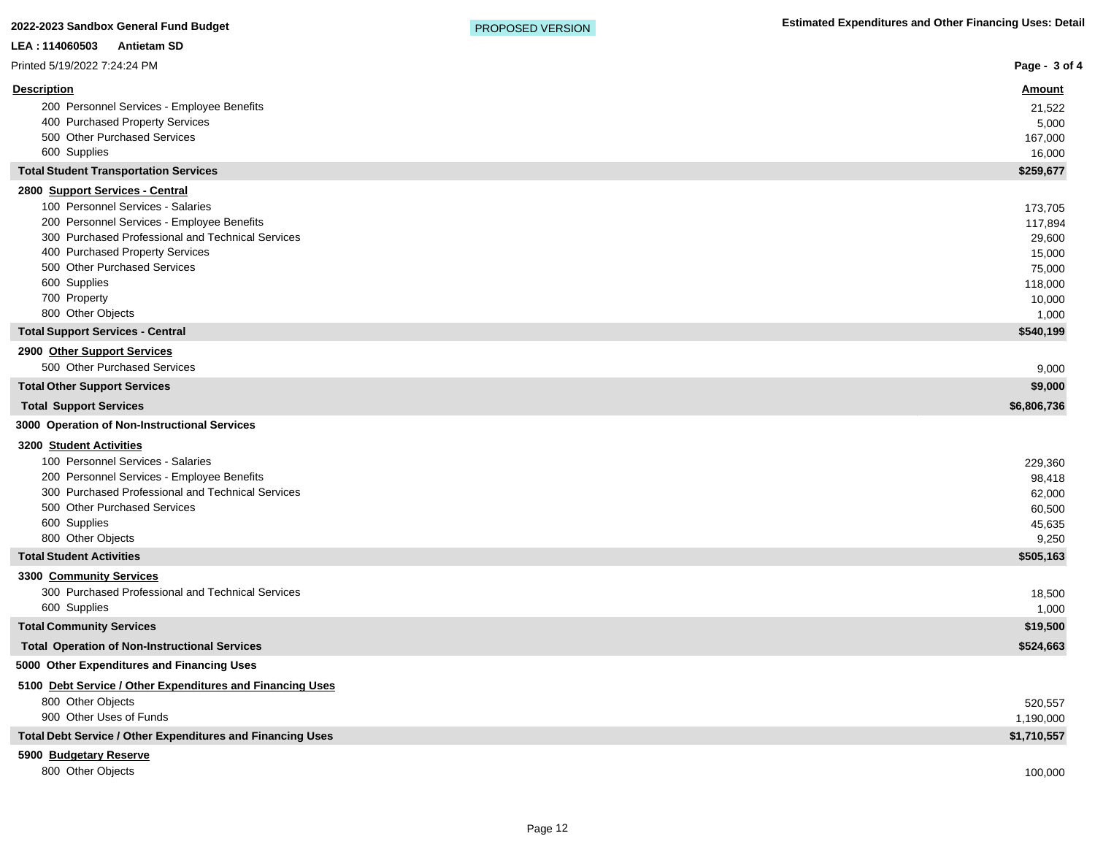| LEA: 114060503<br><b>Antietam SD</b>                                              |                     |
|-----------------------------------------------------------------------------------|---------------------|
| Printed 5/19/2022 7:24:24 PM                                                      | Page - 3 of 4       |
| <b>Description</b>                                                                | <u>Amount</u>       |
| 200 Personnel Services - Employee Benefits                                        | 21,522              |
| 400 Purchased Property Services                                                   | 5,000               |
| 500 Other Purchased Services<br>600 Supplies                                      | 167,000             |
| <b>Total Student Transportation Services</b>                                      | 16,000<br>\$259,677 |
| 2800 Support Services - Central                                                   |                     |
| 100 Personnel Services - Salaries                                                 | 173,705             |
| 200 Personnel Services - Employee Benefits                                        | 117,894             |
| 300 Purchased Professional and Technical Services                                 | 29,600              |
| 400 Purchased Property Services                                                   | 15,000              |
| 500 Other Purchased Services                                                      | 75,000              |
| 600 Supplies<br>700 Property                                                      | 118,000<br>10,000   |
| 800 Other Objects                                                                 | 1,000               |
| <b>Total Support Services - Central</b>                                           | \$540,199           |
| 2900 Other Support Services                                                       |                     |
| 500 Other Purchased Services                                                      | 9,000               |
| <b>Total Other Support Services</b>                                               | \$9,000             |
| <b>Total Support Services</b>                                                     | \$6,806,736         |
| 3000 Operation of Non-Instructional Services                                      |                     |
| 3200 Student Activities                                                           |                     |
| 100 Personnel Services - Salaries                                                 | 229,360             |
| 200 Personnel Services - Employee Benefits                                        | 98,418              |
| 300 Purchased Professional and Technical Services<br>500 Other Purchased Services | 62,000              |
| 600 Supplies                                                                      | 60,500<br>45,635    |
| 800 Other Objects                                                                 | 9,250               |
| <b>Total Student Activities</b>                                                   | \$505,163           |
| 3300 Community Services                                                           |                     |
| 300 Purchased Professional and Technical Services                                 | 18,500              |
| 600 Supplies                                                                      | 1,000               |
| <b>Total Community Services</b>                                                   | \$19,500            |
| <b>Total Operation of Non-Instructional Services</b>                              | \$524,663           |
| 5000 Other Expenditures and Financing Uses                                        |                     |
| 5100 Debt Service / Other Expenditures and Financing Uses                         |                     |
| 800 Other Objects                                                                 | 520,557             |
| 900 Other Uses of Funds                                                           | 1,190,000           |
| Total Debt Service / Other Expenditures and Financing Uses                        | \$1,710,557         |
| 5900 Budgetary Reserve                                                            |                     |
| 800 Other Objects                                                                 | 100,000             |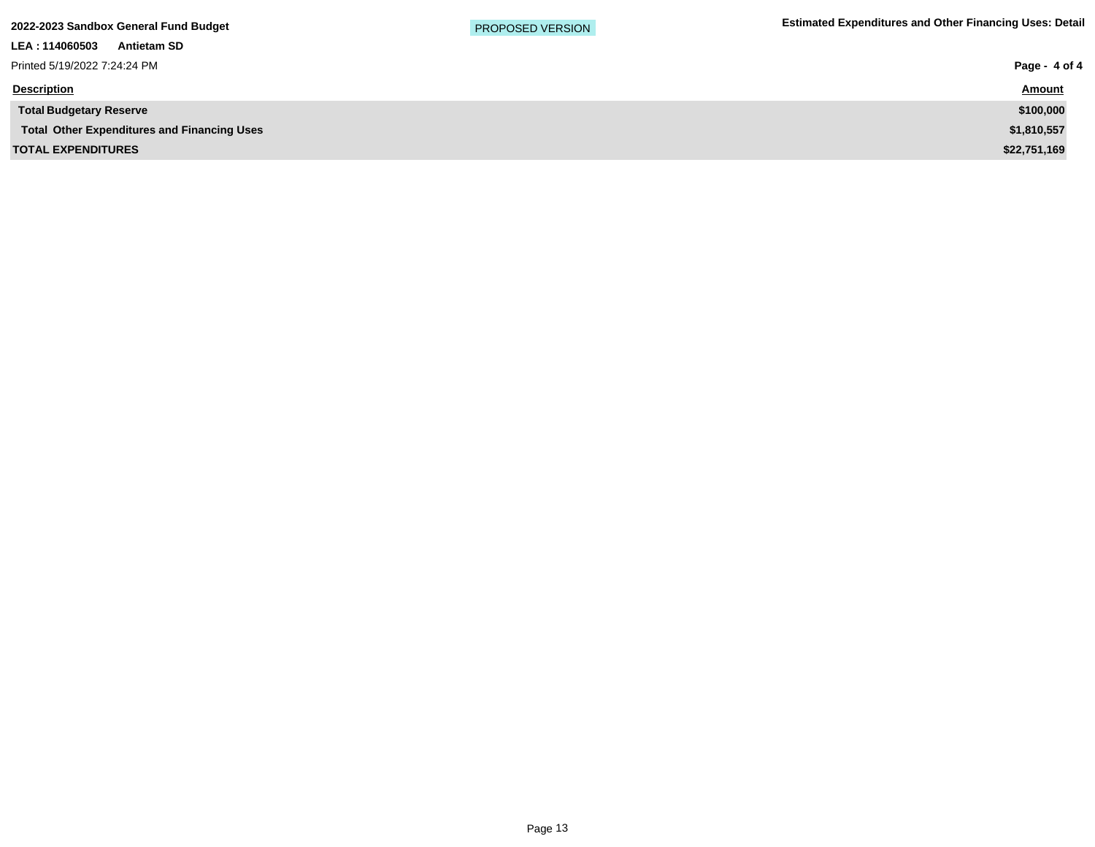| 2022-2023 Sandbox General Fund Budget |  |  |  |  |
|---------------------------------------|--|--|--|--|
|---------------------------------------|--|--|--|--|

| Page - 4 of 4 |
|---------------|
| <b>Amount</b> |
| \$100,000     |
| \$1,810,557   |
| \$22,751,169  |
|               |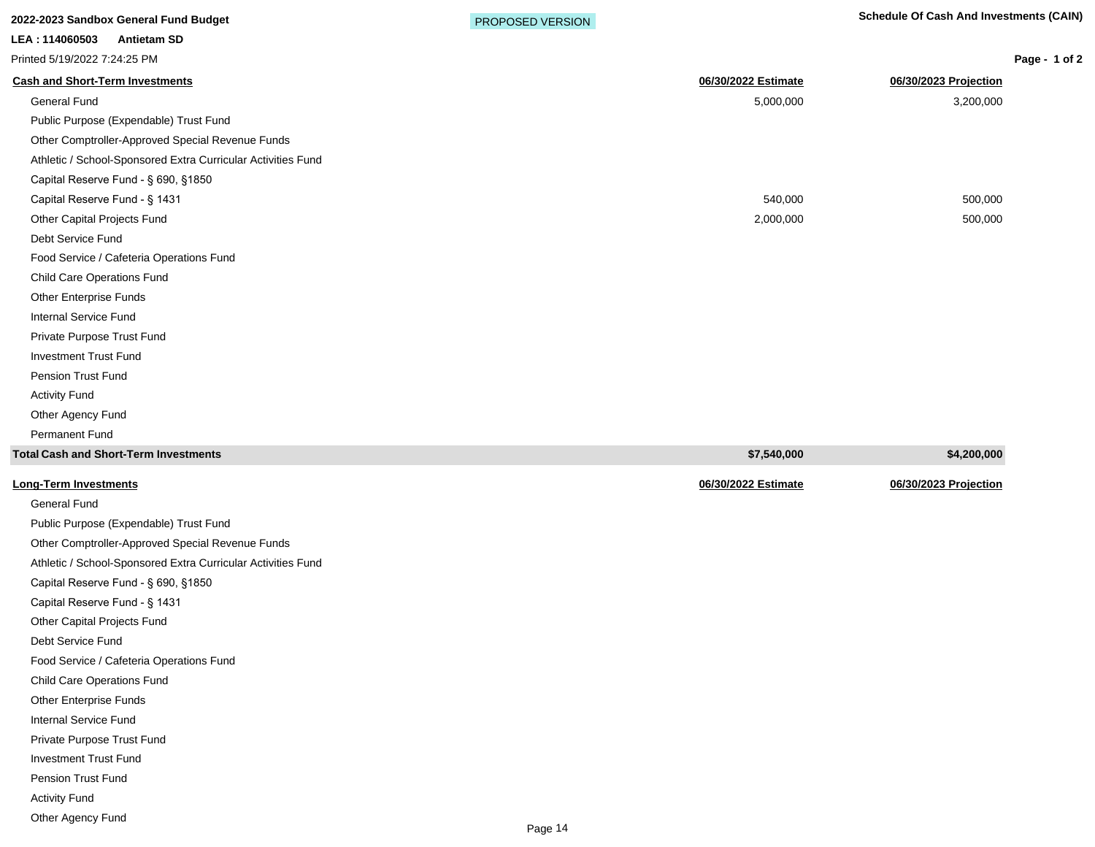|                | <u>ZUZZ-ZUZJ JAHUDUX UBHBIAI FUHU BUUYBI</u> |  |
|----------------|----------------------------------------------|--|
| LEA: 114060503 | <b>Antietam SD</b>                           |  |

Printed 5/19/2022 7:24:25 PM

| Page - 1 of 2 |  |
|---------------|--|

| $1.111$ teg $3/13/20221$ . 24.23 T M                         |                     | r ay <del>c</del>     |
|--------------------------------------------------------------|---------------------|-----------------------|
| <b>Cash and Short-Term Investments</b>                       | 06/30/2022 Estimate | 06/30/2023 Projection |
| <b>General Fund</b>                                          | 5,000,000           | 3,200,000             |
| Public Purpose (Expendable) Trust Fund                       |                     |                       |
| Other Comptroller-Approved Special Revenue Funds             |                     |                       |
| Athletic / School-Sponsored Extra Curricular Activities Fund |                     |                       |
| Capital Reserve Fund - § 690, §1850                          |                     |                       |
| Capital Reserve Fund - § 1431                                | 540,000             | 500,000               |
| Other Capital Projects Fund                                  | 2,000,000           | 500,000               |
| Debt Service Fund                                            |                     |                       |
| Food Service / Cafeteria Operations Fund                     |                     |                       |
| Child Care Operations Fund                                   |                     |                       |
| <b>Other Enterprise Funds</b>                                |                     |                       |
| <b>Internal Service Fund</b>                                 |                     |                       |
| Private Purpose Trust Fund                                   |                     |                       |
| <b>Investment Trust Fund</b>                                 |                     |                       |
| <b>Pension Trust Fund</b>                                    |                     |                       |
| <b>Activity Fund</b>                                         |                     |                       |
| Other Agency Fund                                            |                     |                       |
| <b>Permanent Fund</b>                                        |                     |                       |
| <b>Total Cash and Short-Term Investments</b>                 | \$7,540,000         | \$4,200,000           |
| <b>Long-Term Investments</b>                                 | 06/30/2022 Estimate | 06/30/2023 Projection |

General Fund Public Purpose (Expendable) Trust Fund Other Comptroller-Approved Special Revenue Funds Athletic / School-Sponsored Extra Curricular Activities Fund Capital Reserve Fund - § 690, §1850 Capital Reserve Fund - § 1431 Other Capital Projects Fund Debt Service Fund Food Service / Cafeteria Operations Fund Child Care Operations Fund Other Enterprise Funds Internal Service Fund Private Purpose Trust Fund Investment Trust Fund Pension Trust Fund Activity Fund Other Agency Fund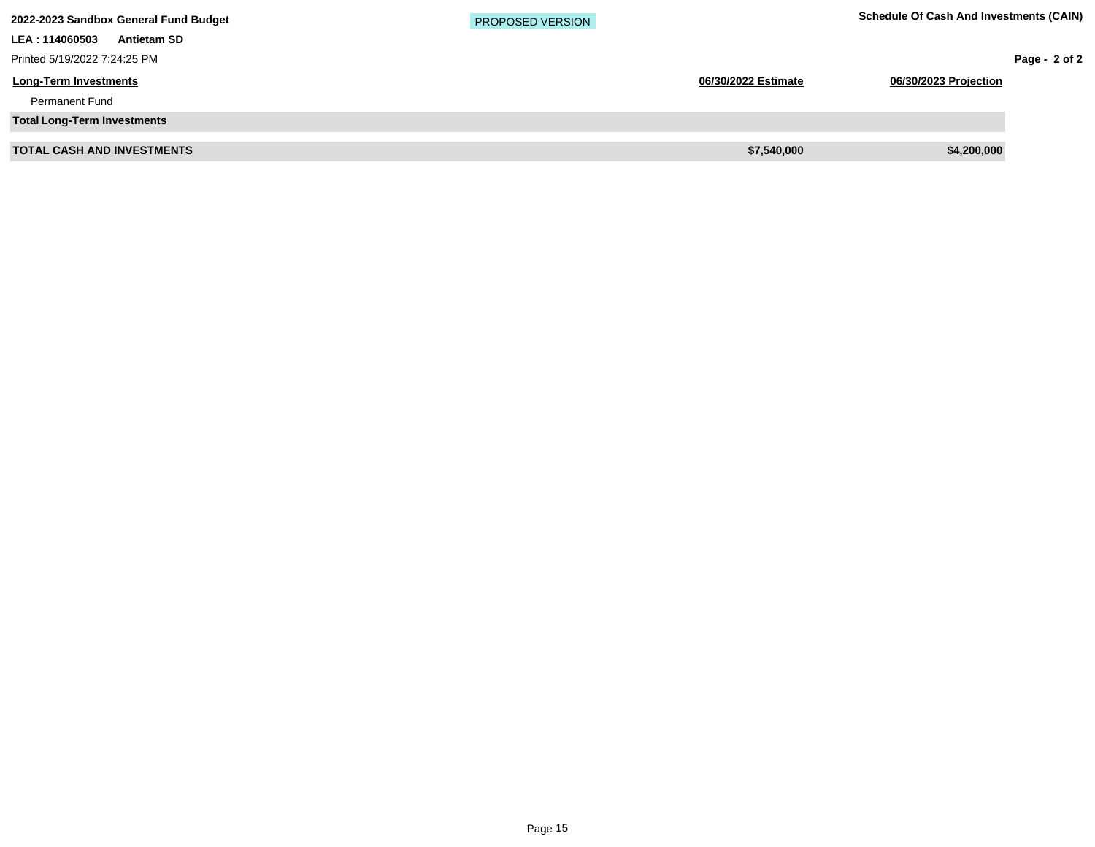| 2022-2023 Sandbox General Fund Budget | <b>PROPOSED VERSION</b> | <b>Schedule Of Cash And Investments (CAIN)</b> |
|---------------------------------------|-------------------------|------------------------------------------------|
| LEA: 114060503<br><b>Antietam SD</b>  |                         |                                                |
| Printed 5/19/2022 7:24:25 PM          |                         | Page - $2$ of 2                                |
| <b>Long-Term Investments</b>          | 06/30/2022 Estimate     | 06/30/2023 Projection                          |
| <b>Permanent Fund</b>                 |                         |                                                |
| <b>Total Long-Term Investments</b>    |                         |                                                |
| <b>TOTAL CASH AND INVESTMENTS</b>     | \$7,540,000             | \$4,200,000                                    |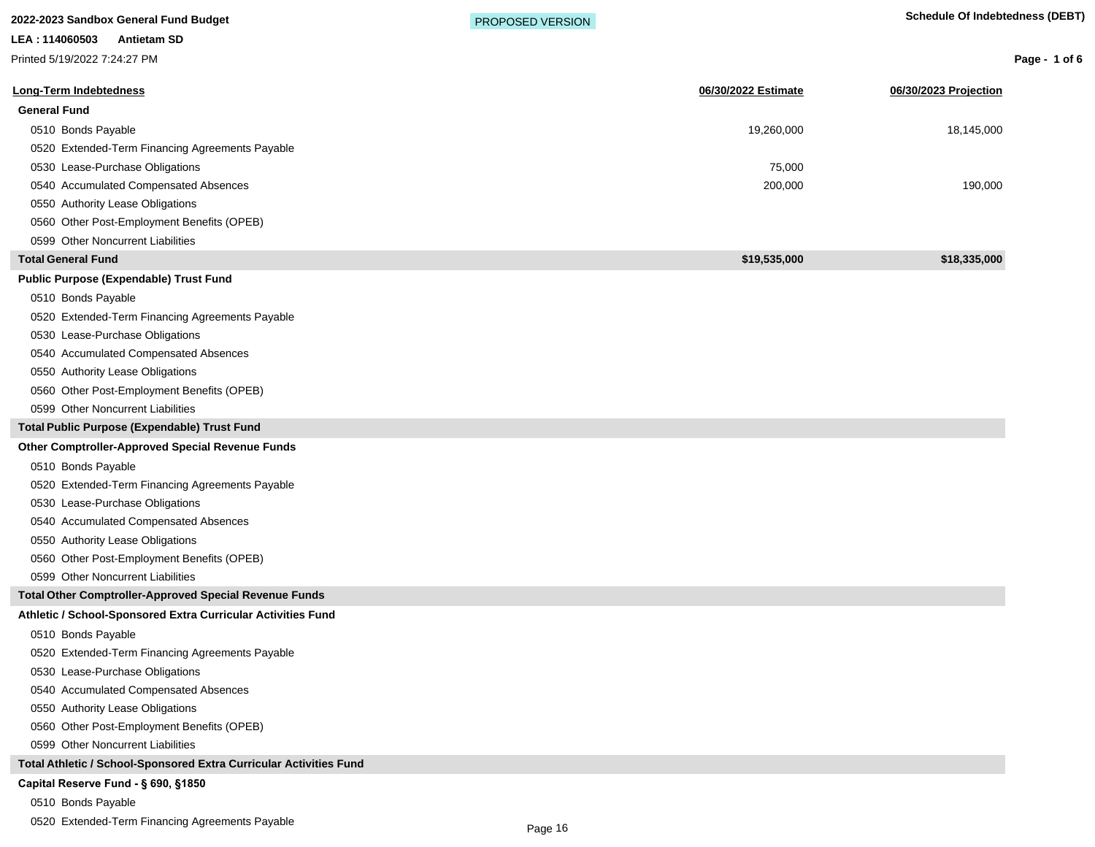**Long-Term Indebtedness 06/30/2022 Estimate 06/30/2023 Projection General Fund** 0510 Bonds Payable 19,260,000 18,145,000 19,260,000 19,260,000 19,260,000 19,260,000 18,145,000 19,260,000 18,145,000 0520 Extended-Term Financing Agreements Payable 0530 Lease-Purchase Obligations 75,000 0540 Accumulated Compensated Absences 200,000 190,000 190,000 190,000 190,000 190,000 190,000 190,000 190,000 0550 Authority Lease Obligations 0560 Other Post-Employment Benefits (OPEB) 0599 Other Noncurrent Liabilities **2022-2023 Sandbox General Fund Budget <b>Schedule Of Indebtedness (DEBT) PROPOSED VERSION LEA : 114060503 Antietam SD** Printed 5/19/2022 7:24:27 PM PROPOSED VERSION

**Total General Fund \$19,535,000 \$18,335,000**

## **Public Purpose (Expendable) Trust Fund**

0510 Bonds Payable

0520 Extended-Term Financing Agreements Payable

0530 Lease-Purchase Obligations

0540 Accumulated Compensated Absences

0550 Authority Lease Obligations

0560 Other Post-Employment Benefits (OPEB)

0599 Other Noncurrent Liabilities

**Total Public Purpose (Expendable) Trust Fund**

#### **Other Comptroller-Approved Special Revenue Funds**

0510 Bonds Payable

0520 Extended-Term Financing Agreements Payable

0530 Lease-Purchase Obligations

0540 Accumulated Compensated Absences

0550 Authority Lease Obligations

0560 Other Post-Employment Benefits (OPEB)

0599 Other Noncurrent Liabilities

**Total Other Comptroller-Approved Special Revenue Funds**

### **Athletic / School-Sponsored Extra Curricular Activities Fund**

0510 Bonds Payable

0520 Extended-Term Financing Agreements Payable

0530 Lease-Purchase Obligations

0540 Accumulated Compensated Absences

0550 Authority Lease Obligations

0560 Other Post-Employment Benefits (OPEB)

0599 Other Noncurrent Liabilities

**Total Athletic / School-Sponsored Extra Curricular Activities Fund**

## Capital Reserve Fund - § 690, §1850

0510 Bonds Payable

0520 Extended-Term Financing Agreements Payable

**Page - 1 of 6**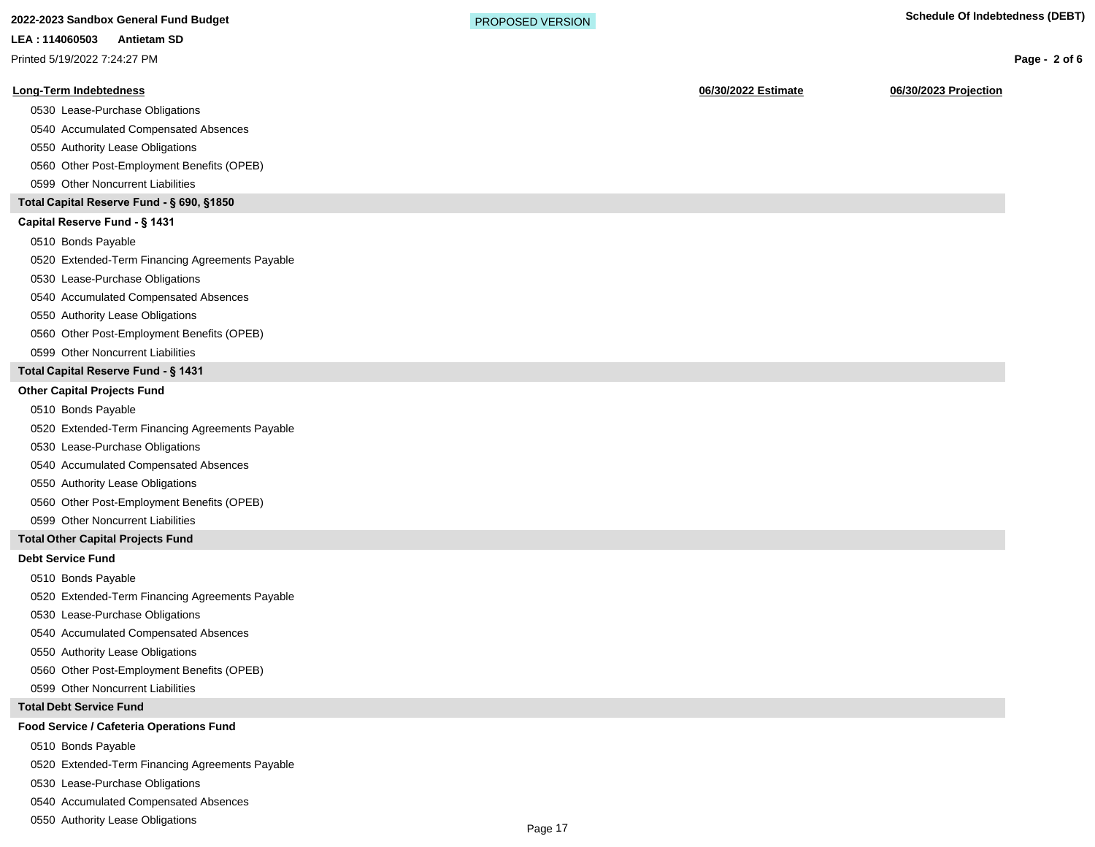**2022-2023 Sandbox General Fund Budget <b>Schedule Of Indebtedness (DEBT) PROPOSED VERSION** 

### **LEA : 114060503 Antietam SD**

Printed 5/19/2022 7:24:27 PM

#### **Long-Term Indebtedness 06/30/2022 Estimate 06/30/2023 Projection**

- 0530 Lease-Purchase Obligations
- 0540 Accumulated Compensated Absences
- 0550 Authority Lease Obligations
- 0560 Other Post-Employment Benefits (OPEB)
- 0599 Other Noncurrent Liabilities

## **Total Capital Reserve Fund - § 690, §1850**

## Capital Reserve Fund - § 1431

- 0510 Bonds Payable
- 0520 Extended-Term Financing Agreements Payable
- 0530 Lease-Purchase Obligations
- 0540 Accumulated Compensated Absences
- 0550 Authority Lease Obligations
- 0560 Other Post-Employment Benefits (OPEB)
- 0599 Other Noncurrent Liabilities

# **Total Capital Reserve Fund - § 1431**

#### **Other Capital Projects Fund**

- 0510 Bonds Payable
- 0520 Extended-Term Financing Agreements Payable
- 0530 Lease-Purchase Obligations
- 0540 Accumulated Compensated Absences
- 0550 Authority Lease Obligations
- 0560 Other Post-Employment Benefits (OPEB)
- 0599 Other Noncurrent Liabilities

### **Total Other Capital Projects Fund**

#### **Debt Service Fund**

0510 Bonds Payable

- 0520 Extended-Term Financing Agreements Payable
- 0530 Lease-Purchase Obligations
- 0540 Accumulated Compensated Absences
- 0550 Authority Lease Obligations
- 0560 Other Post-Employment Benefits (OPEB)
- 0599 Other Noncurrent Liabilities

#### **Total Debt Service Fund**

#### **Food Service / Cafeteria Operations Fund**

- 0510 Bonds Payable
- 0520 Extended-Term Financing Agreements Payable
- 0530 Lease-Purchase Obligations
- 0540 Accumulated Compensated Absences
- 0550 Authority Lease Obligations

**Page - 2 of 6**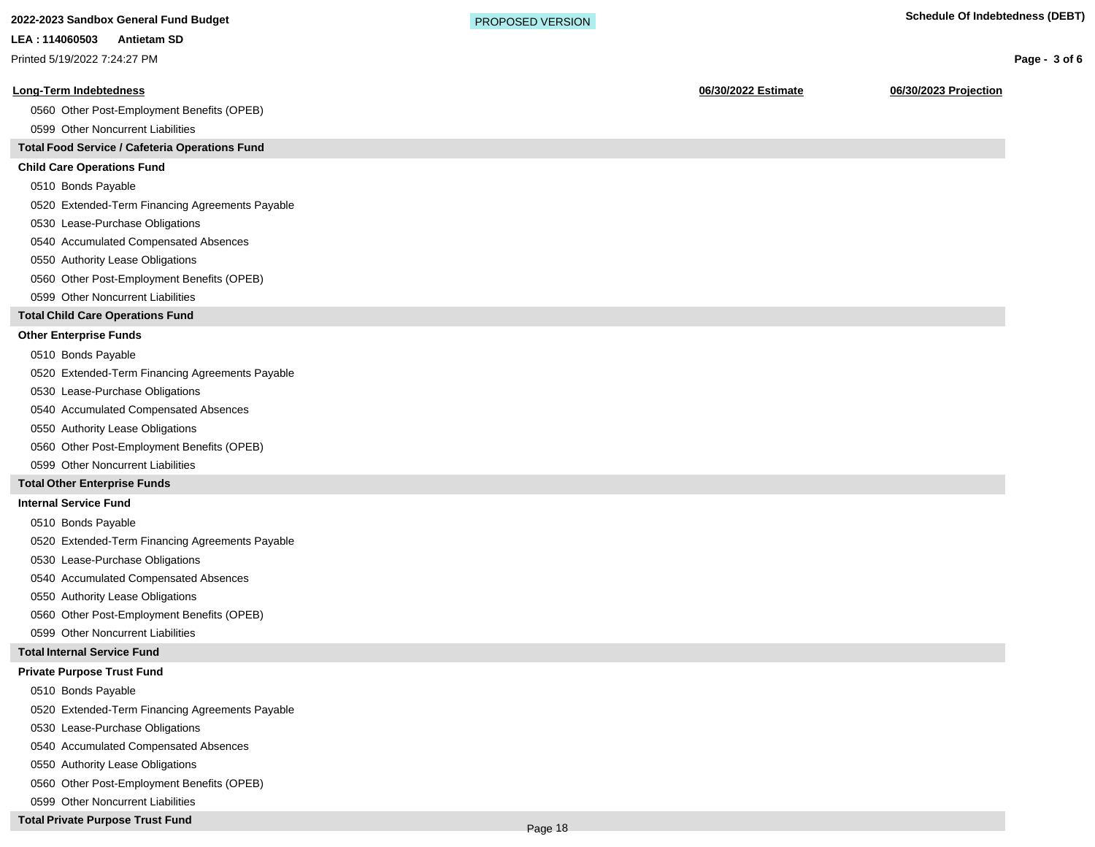# **Long-Term Indebtedness 06/30/2022 Estimate 06/30/2023 Projection** 0560 Other Post-Employment Benefits (OPEB) 0599 Other Noncurrent Liabilities **Total Food Service / Cafeteria Operations Fund Child Care Operations Fund** 0510 Bonds Payable 0520 Extended-Term Financing Agreements Payable 0530 Lease-Purchase Obligations 0540 Accumulated Compensated Absences 0550 Authority Lease Obligations 0560 Other Post-Employment Benefits (OPEB) 0599 Other Noncurrent Liabilities **Total Child Care Operations Fund Other Enterprise Funds** 0510 Bonds Payable 0520 Extended-Term Financing Agreements Payable 0530 Lease-Purchase Obligations 0540 Accumulated Compensated Absences 0550 Authority Lease Obligations 0560 Other Post-Employment Benefits (OPEB) 0599 Other Noncurrent Liabilities **Total Other Enterprise Funds Internal Service Fund** 0510 Bonds Payable **2022-2023 Sandbox General Fund Budget <b>Schedule Of Indebtedness (DEBT) PROPOSED VERSION Page - 3 of 6 LEA : 114060503 Antietam SD** Printed 5/19/2022 7:24:27 PM PROPOSED VERSION

0520 Extended-Term Financing Agreements Payable

0530 Lease-Purchase Obligations

0540 Accumulated Compensated Absences

0550 Authority Lease Obligations

0560 Other Post-Employment Benefits (OPEB)

0599 Other Noncurrent Liabilities

#### **Total Internal Service Fund**

# **Private Purpose Trust Fund**

0510 Bonds Payable

0520 Extended-Term Financing Agreements Payable

0530 Lease-Purchase Obligations

0540 Accumulated Compensated Absences

0550 Authority Lease Obligations

0560 Other Post-Employment Benefits (OPEB)

0599 Other Noncurrent Liabilities

## **Total Private Purpose Trust Fund**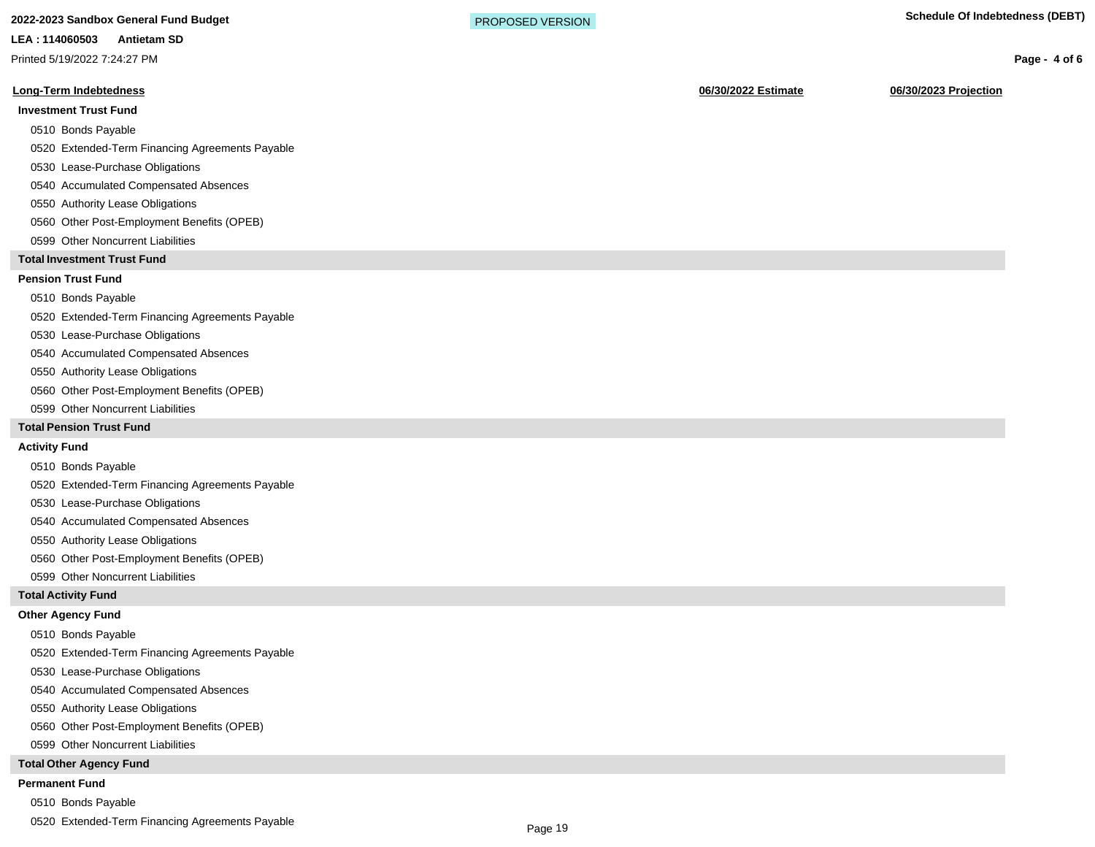# **2022-2023 Sandbox General Fund Budget <b>Schedule Of Indebtedness (DEBT) PROPOSED VERSION**

#### **LEA : 114060503 Antietam SD**

Printed 5/19/2022 7:24:27 PM

#### **Long-Term Indebtedness 06/30/2022 Estimate 06/30/2023 Projection**

#### **Investment Trust Fund**

#### 0510 Bonds Payable

- 0520 Extended-Term Financing Agreements Payable
- 0530 Lease-Purchase Obligations
- 0540 Accumulated Compensated Absences
- 0550 Authority Lease Obligations
- 0560 Other Post-Employment Benefits (OPEB)
- 0599 Other Noncurrent Liabilities

### **Total Investment Trust Fund**

## **Pension Trust Fund**

#### 0510 Bonds Payable

0520 Extended-Term Financing Agreements Payable

- 0530 Lease-Purchase Obligations
- 0540 Accumulated Compensated Absences
- 0550 Authority Lease Obligations
- 0560 Other Post-Employment Benefits (OPEB)
- 0599 Other Noncurrent Liabilities

#### **Total Pension Trust Fund**

#### **Activity Fund**

- 0510 Bonds Payable
- 0520 Extended-Term Financing Agreements Payable
- 0530 Lease-Purchase Obligations
- 0540 Accumulated Compensated Absences
- 0550 Authority Lease Obligations
- 0560 Other Post-Employment Benefits (OPEB)
- 0599 Other Noncurrent Liabilities

#### **Total Activity Fund**

#### **Other Agency Fund**

- 0510 Bonds Payable
- 0520 Extended-Term Financing Agreements Payable
- 0530 Lease-Purchase Obligations
- 0540 Accumulated Compensated Absences
- 0550 Authority Lease Obligations
- 0560 Other Post-Employment Benefits (OPEB)
- 0599 Other Noncurrent Liabilities

#### **Total Other Agency Fund**

#### **Permanent Fund**

- 0510 Bonds Payable
- 0520 Extended-Term Financing Agreements Payable

**Page - 4 of 6**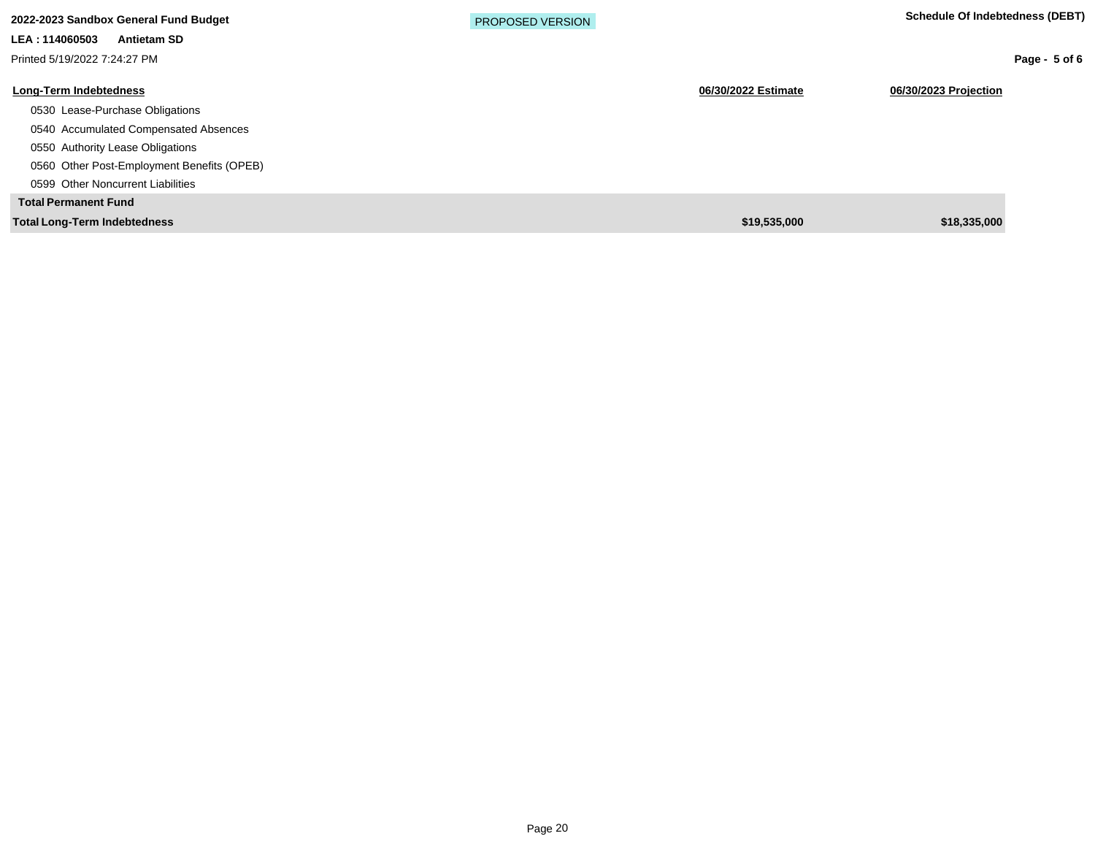| 2022-2023 Sandbox General Fund Budget      | <b>PROPOSED VERSION</b> |                                              | Schedule Of Indebtedness (DEBT) |
|--------------------------------------------|-------------------------|----------------------------------------------|---------------------------------|
| LEA: 114060503<br><b>Antietam SD</b>       |                         |                                              |                                 |
| Printed 5/19/2022 7:24:27 PM               |                         |                                              | Page - $5$ of 6                 |
| <b>Long-Term Indebtedness</b>              |                         | 06/30/2022 Estimate<br>06/30/2023 Projection |                                 |
| 0530 Lease-Purchase Obligations            |                         |                                              |                                 |
| 0540 Accumulated Compensated Absences      |                         |                                              |                                 |
| 0550 Authority Lease Obligations           |                         |                                              |                                 |
| 0560 Other Post-Employment Benefits (OPEB) |                         |                                              |                                 |
| 0599 Other Noncurrent Liabilities          |                         |                                              |                                 |
| <b>Total Permanent Fund</b>                |                         |                                              |                                 |
| <b>Total Long-Term Indebtedness</b>        |                         | \$19,535,000                                 | \$18,335,000                    |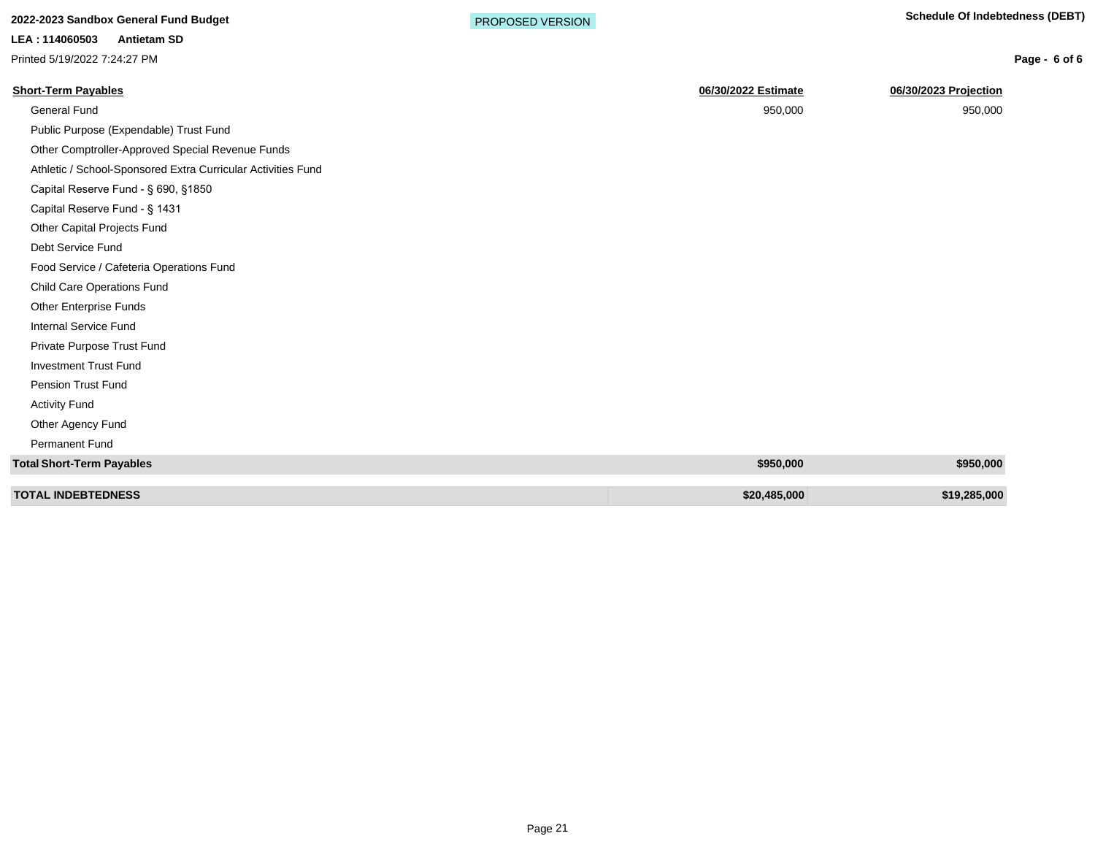# **2022-2023 Sandbox General Fund Budget <b>Schedule Of Indebtedness (DEBT) PROPOSED VERSION**

**LEA : 114060503 Antietam SD**

Printed 5/19/2022 7:24:27 PM

**Page - 6 of 6**

| <b>Short-Term Payables</b>                                   | 06/30/2022 Estimate | 06/30/2023 Projection |
|--------------------------------------------------------------|---------------------|-----------------------|
| <b>General Fund</b>                                          | 950,000             | 950,000               |
| Public Purpose (Expendable) Trust Fund                       |                     |                       |
| Other Comptroller-Approved Special Revenue Funds             |                     |                       |
| Athletic / School-Sponsored Extra Curricular Activities Fund |                     |                       |
| Capital Reserve Fund - § 690, §1850                          |                     |                       |
| Capital Reserve Fund - § 1431                                |                     |                       |
| Other Capital Projects Fund                                  |                     |                       |
| Debt Service Fund                                            |                     |                       |
| Food Service / Cafeteria Operations Fund                     |                     |                       |
| <b>Child Care Operations Fund</b>                            |                     |                       |
| <b>Other Enterprise Funds</b>                                |                     |                       |
| <b>Internal Service Fund</b>                                 |                     |                       |
| Private Purpose Trust Fund                                   |                     |                       |
| <b>Investment Trust Fund</b>                                 |                     |                       |
| Pension Trust Fund                                           |                     |                       |
| <b>Activity Fund</b>                                         |                     |                       |
| Other Agency Fund                                            |                     |                       |
| Permanent Fund                                               |                     |                       |
| <b>Total Short-Term Payables</b>                             | \$950,000           | \$950,000             |
|                                                              |                     |                       |
| <b>TOTAL INDEBTEDNESS</b>                                    | \$20,485,000        | \$19,285,000          |